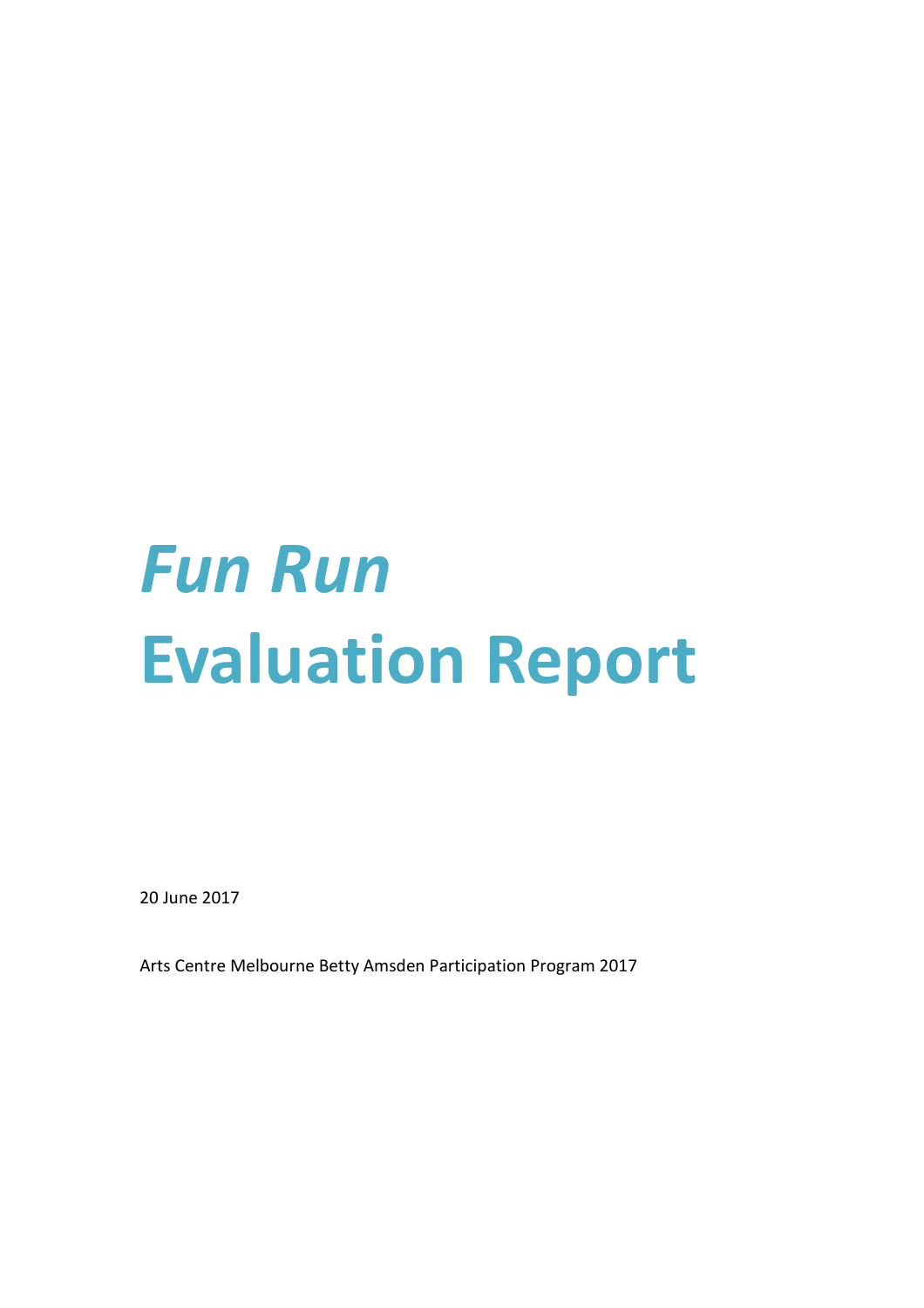# *Fun Run* **Evaluation Report**

20 June 2017

Arts Centre Melbourne Betty Amsden Participation Program 2017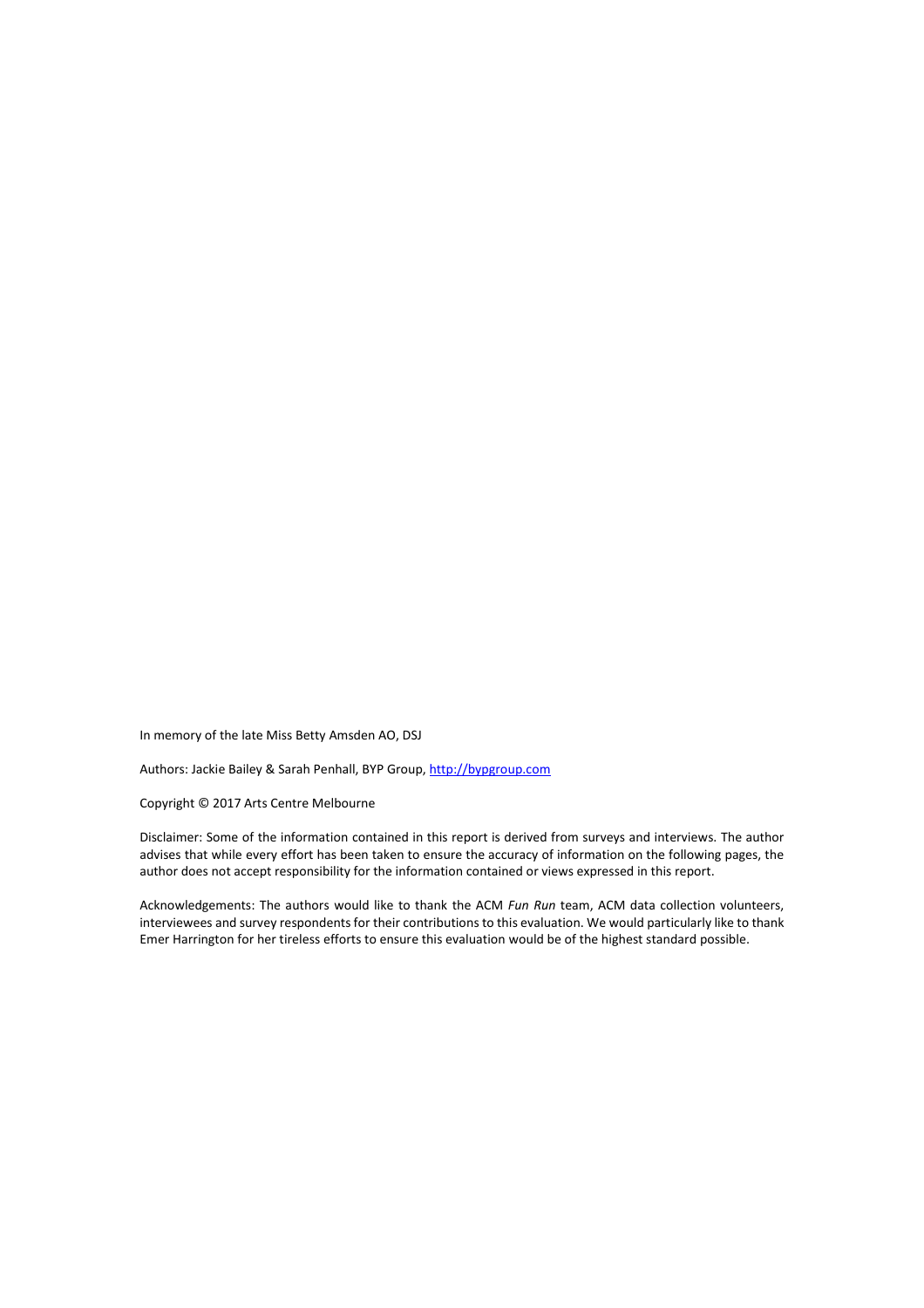In memory of the late Miss Betty Amsden AO, DSJ

Authors: Jackie Bailey & Sarah Penhall, BYP Group[, http://bypgroup.com](http://www.baileyandyang.com/)

Copyright © 2017 Arts Centre Melbourne

Disclaimer: Some of the information contained in this report is derived from surveys and interviews. The author advises that while every effort has been taken to ensure the accuracy of information on the following pages, the author does not accept responsibility for the information contained or views expressed in this report.

Acknowledgements: The authors would like to thank the ACM *Fun Run* team, ACM data collection volunteers, interviewees and survey respondents for their contributions to this evaluation. We would particularly like to thank Emer Harrington for her tireless efforts to ensure this evaluation would be of the highest standard possible.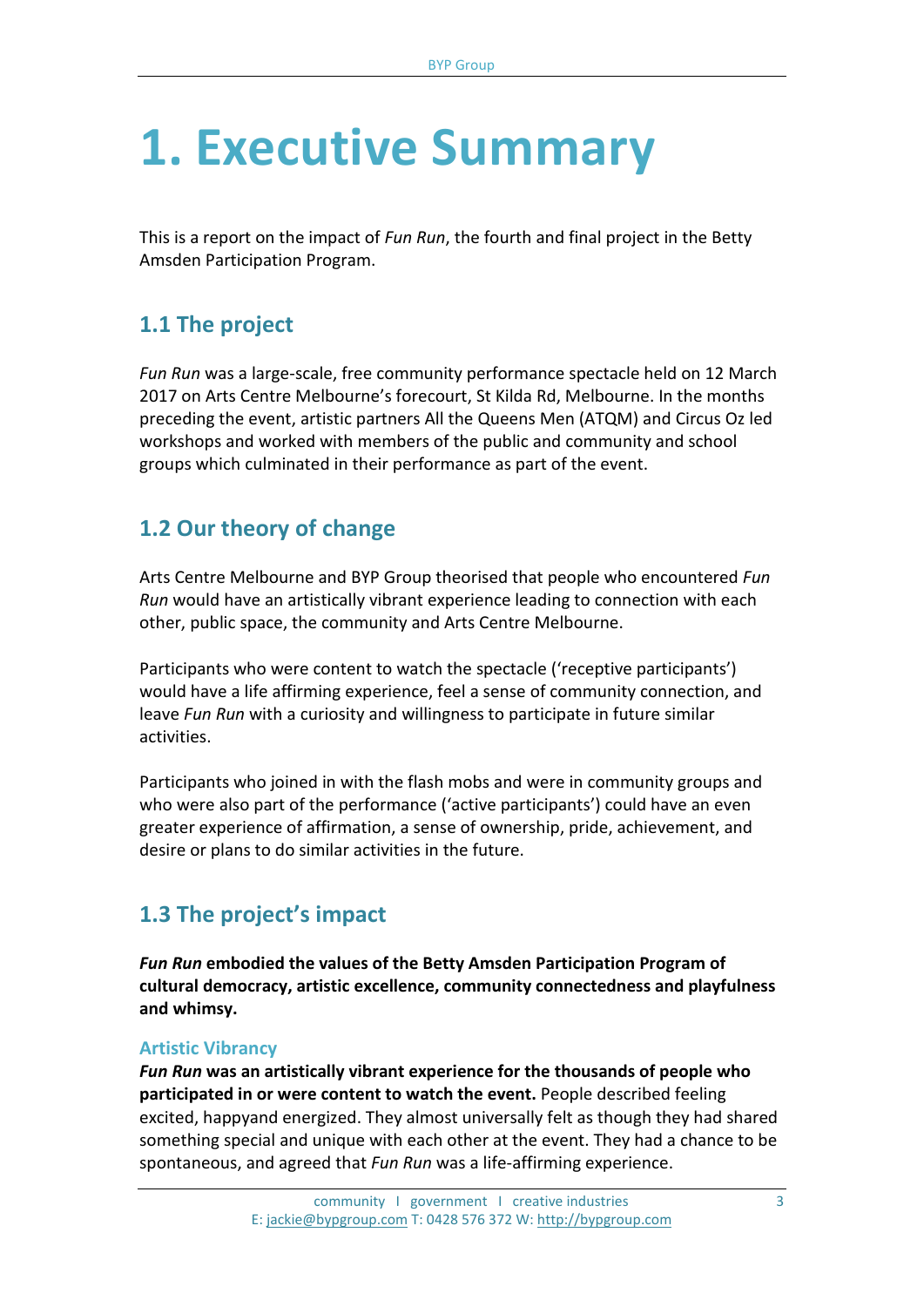## **1. Executive Summary**

This is a report on the impact of *Fun Run*, the fourth and final project in the Betty Amsden Participation Program.

## **1.1 The project**

*Fun Run* was a large-scale, free community performance spectacle held on 12 March 2017 on Arts Centre Melbourne's forecourt, St Kilda Rd, Melbourne. In the months preceding the event, artistic partners All the Queens Men (ATQM) and Circus Oz led workshops and worked with members of the public and community and school groups which culminated in their performance as part of the event.

## **1.2 Our theory of change**

Arts Centre Melbourne and BYP Group theorised that people who encountered *Fun Run* would have an artistically vibrant experience leading to connection with each other, public space, the community and Arts Centre Melbourne.

Participants who were content to watch the spectacle ('receptive participants') would have a life affirming experience, feel a sense of community connection, and leave *Fun Run* with a curiosity and willingness to participate in future similar activities.

Participants who joined in with the flash mobs and were in community groups and who were also part of the performance ('active participants') could have an even greater experience of affirmation, a sense of ownership, pride, achievement, and desire or plans to do similar activities in the future.

## **1.3 The project's impact**

*Fun Run* **embodied the values of the Betty Amsden Participation Program of cultural democracy, artistic excellence, community connectedness and playfulness and whimsy.**

#### **Artistic Vibrancy**

*Fun Run* **was an artistically vibrant experience for the thousands of people who participated in or were content to watch the event.** People described feeling excited, happyand energized. They almost universally felt as though they had shared something special and unique with each other at the event. They had a chance to be spontaneous, and agreed that *Fun Run* was a life-affirming experience.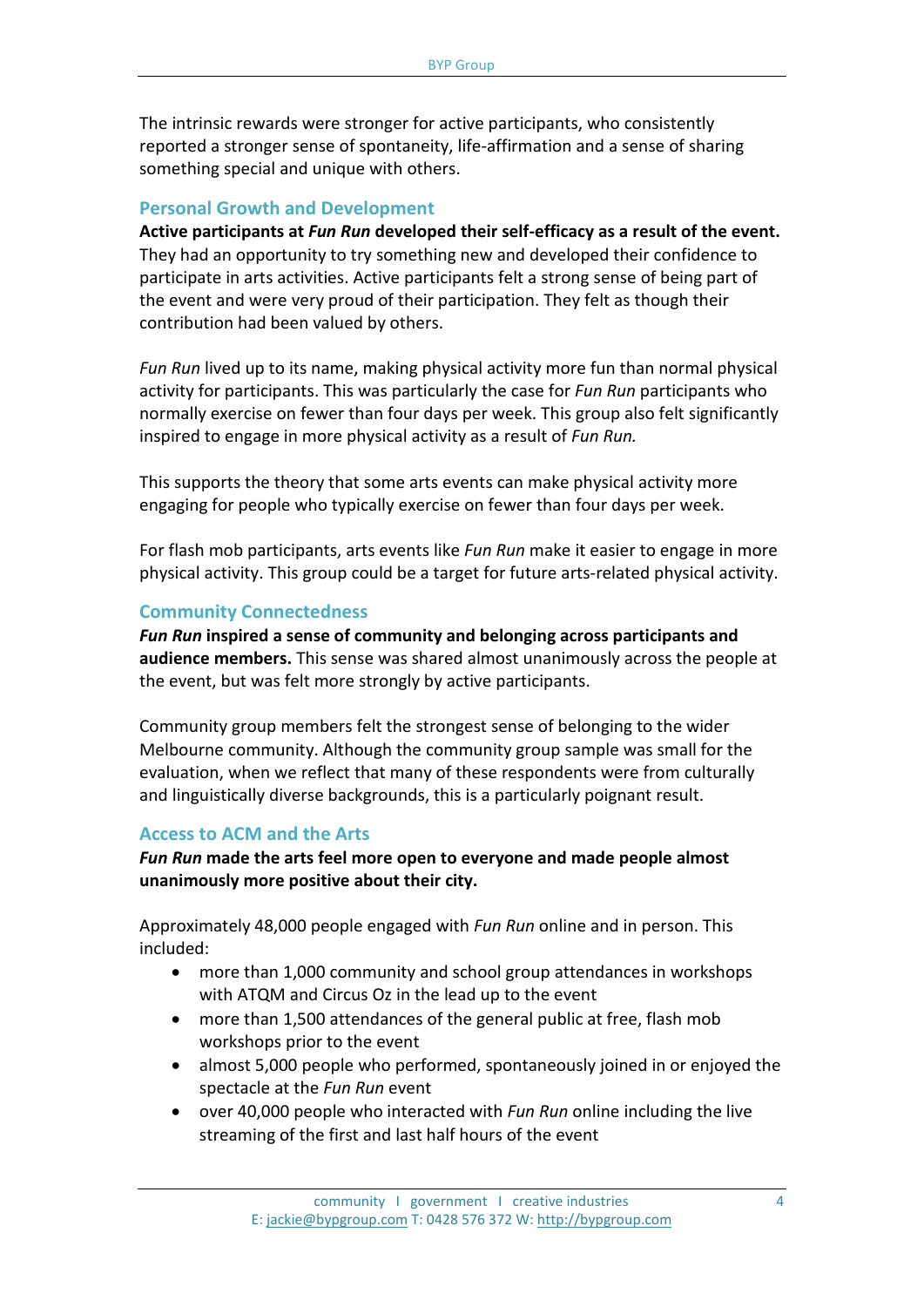The intrinsic rewards were stronger for active participants, who consistently reported a stronger sense of spontaneity, life-affirmation and a sense of sharing something special and unique with others.

#### **Personal Growth and Development**

**Active participants at** *Fun Run* **developed their self-efficacy as a result of the event.**  They had an opportunity to try something new and developed their confidence to participate in arts activities. Active participants felt a strong sense of being part of the event and were very proud of their participation. They felt as though their contribution had been valued by others.

*Fun Run* lived up to its name, making physical activity more fun than normal physical activity for participants. This was particularly the case for *Fun Run* participants who normally exercise on fewer than four days per week. This group also felt significantly inspired to engage in more physical activity as a result of *Fun Run.* 

This supports the theory that some arts events can make physical activity more engaging for people who typically exercise on fewer than four days per week.

For flash mob participants, arts events like *Fun Run* make it easier to engage in more physical activity. This group could be a target for future arts-related physical activity.

#### **Community Connectedness**

*Fun Run* **inspired a sense of community and belonging across participants and audience members.** This sense was shared almost unanimously across the people at the event, but was felt more strongly by active participants.

Community group members felt the strongest sense of belonging to the wider Melbourne community. Although the community group sample was small for the evaluation, when we reflect that many of these respondents were from culturally and linguistically diverse backgrounds, this is a particularly poignant result.

#### **Access to ACM and the Arts**

*Fun Run* **made the arts feel more open to everyone and made people almost unanimously more positive about their city.** 

Approximately 48,000 people engaged with *Fun Run* online and in person. This included:

- more than 1,000 community and school group attendances in workshops with ATQM and Circus Oz in the lead up to the event
- more than 1,500 attendances of the general public at free, flash mob workshops prior to the event
- almost 5,000 people who performed, spontaneously joined in or enjoyed the spectacle at the *Fun Run* event
- over 40,000 people who interacted with *Fun Run* online including the live streaming of the first and last half hours of the event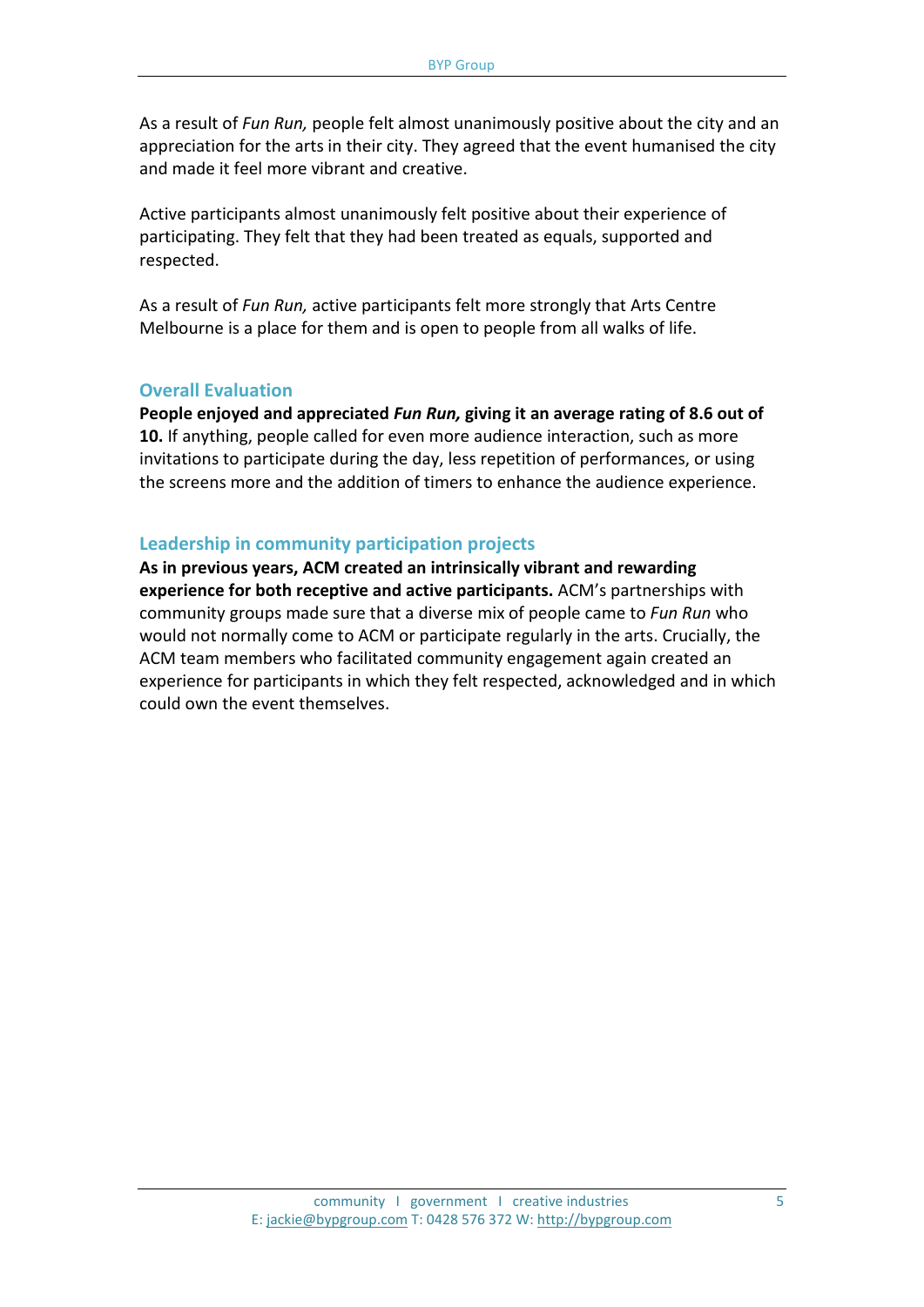As a result of *Fun Run,* people felt almost unanimously positive about the city and an appreciation for the arts in their city. They agreed that the event humanised the city and made it feel more vibrant and creative.

Active participants almost unanimously felt positive about their experience of participating. They felt that they had been treated as equals, supported and respected.

As a result of *Fun Run,* active participants felt more strongly that Arts Centre Melbourne is a place for them and is open to people from all walks of life.

#### **Overall Evaluation**

**People enjoyed and appreciated** *Fun Run,* **giving it an average rating of 8.6 out of 10.** If anything, people called for even more audience interaction, such as more invitations to participate during the day, less repetition of performances, or using the screens more and the addition of timers to enhance the audience experience.

#### **Leadership in community participation projects**

**As in previous years, ACM created an intrinsically vibrant and rewarding experience for both receptive and active participants.** ACM's partnerships with community groups made sure that a diverse mix of people came to *Fun Run* who would not normally come to ACM or participate regularly in the arts. Crucially, the ACM team members who facilitated community engagement again created an experience for participants in which they felt respected, acknowledged and in which could own the event themselves.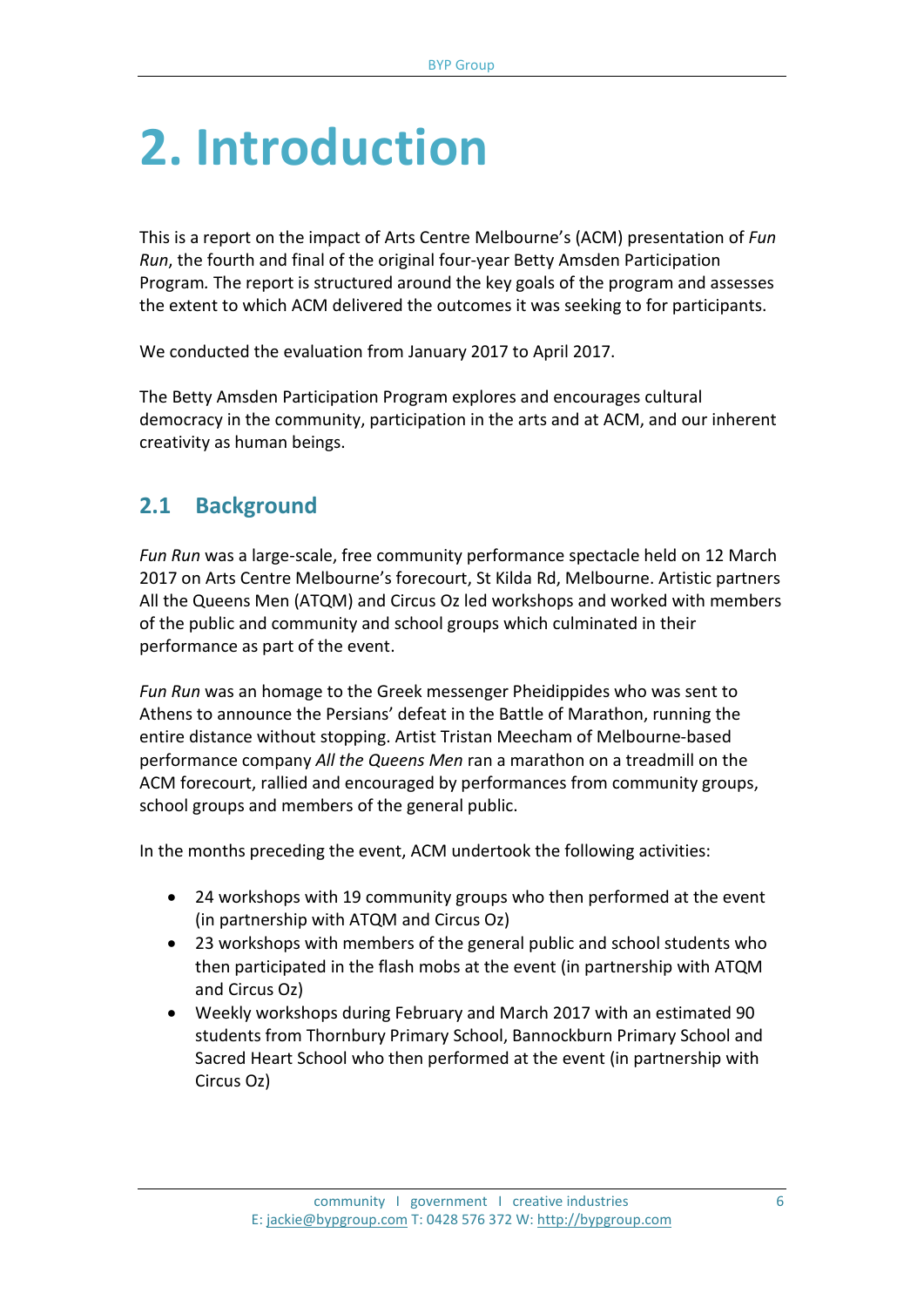## **2. Introduction**

This is a report on the impact of Arts Centre Melbourne's (ACM) presentation of *Fun Run*, the fourth and final of the original four-year Betty Amsden Participation Program*.* The report is structured around the key goals of the program and assesses the extent to which ACM delivered the outcomes it was seeking to for participants.

We conducted the evaluation from January 2017 to April 2017.

The Betty Amsden Participation Program explores and encourages cultural democracy in the community, participation in the arts and at ACM, and our inherent creativity as human beings.

## **2.1 Background**

*Fun Run* was a large-scale, free community performance spectacle held on 12 March 2017 on Arts Centre Melbourne's forecourt, St Kilda Rd, Melbourne. Artistic partners All the Queens Men (ATQM) and Circus Oz led workshops and worked with members of the public and community and school groups which culminated in their performance as part of the event.

*Fun Run* was an homage to the Greek messenger Pheidippides who was sent to Athens to announce the Persians' defeat in the Battle of Marathon, running the entire distance without stopping. Artist Tristan Meecham of Melbourne-based performance company *All the Queens Men* ran a marathon on a treadmill on the ACM forecourt, rallied and encouraged by performances from community groups, school groups and members of the general public.

In the months preceding the event, ACM undertook the following activities:

- 24 workshops with 19 community groups who then performed at the event (in partnership with ATQM and Circus Oz)
- 23 workshops with members of the general public and school students who then participated in the flash mobs at the event (in partnership with ATQM and Circus Oz)
- Weekly workshops during February and March 2017 with an estimated 90 students from Thornbury Primary School, Bannockburn Primary School and Sacred Heart School who then performed at the event (in partnership with Circus Oz)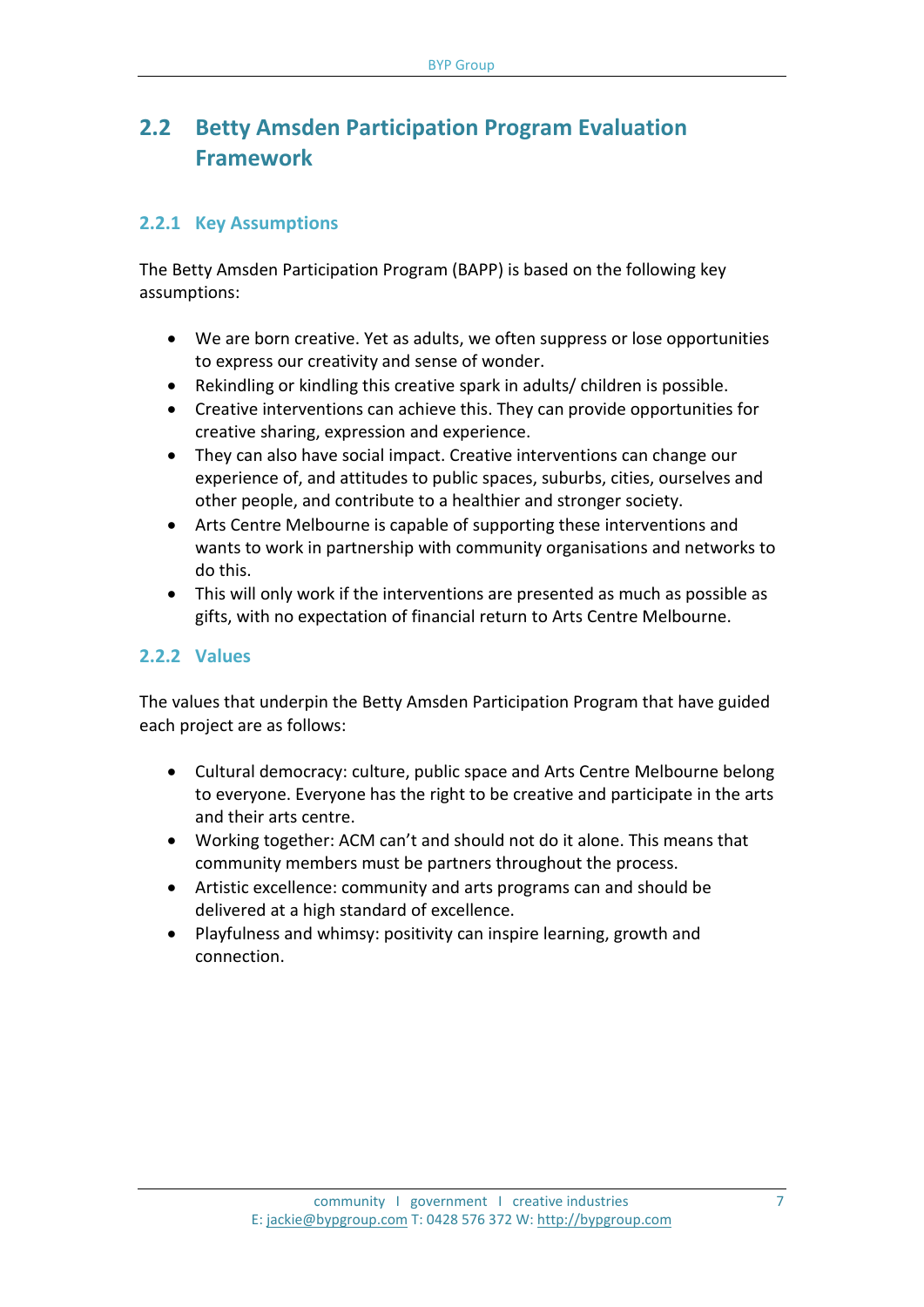## **2.2 Betty Amsden Participation Program Evaluation Framework**

### **2.2.1 Key Assumptions**

The Betty Amsden Participation Program (BAPP) is based on the following key assumptions:

- We are born creative. Yet as adults, we often suppress or lose opportunities to express our creativity and sense of wonder.
- Rekindling or kindling this creative spark in adults/ children is possible.
- Creative interventions can achieve this. They can provide opportunities for creative sharing, expression and experience.
- They can also have social impact. Creative interventions can change our experience of, and attitudes to public spaces, suburbs, cities, ourselves and other people, and contribute to a healthier and stronger society.
- Arts Centre Melbourne is capable of supporting these interventions and wants to work in partnership with community organisations and networks to do this.
- This will only work if the interventions are presented as much as possible as gifts, with no expectation of financial return to Arts Centre Melbourne.

### **2.2.2 Values**

The values that underpin the Betty Amsden Participation Program that have guided each project are as follows:

- Cultural democracy: culture, public space and Arts Centre Melbourne belong to everyone. Everyone has the right to be creative and participate in the arts and their arts centre.
- Working together: ACM can't and should not do it alone. This means that community members must be partners throughout the process.
- Artistic excellence: community and arts programs can and should be delivered at a high standard of excellence.
- Playfulness and whimsy: positivity can inspire learning, growth and connection.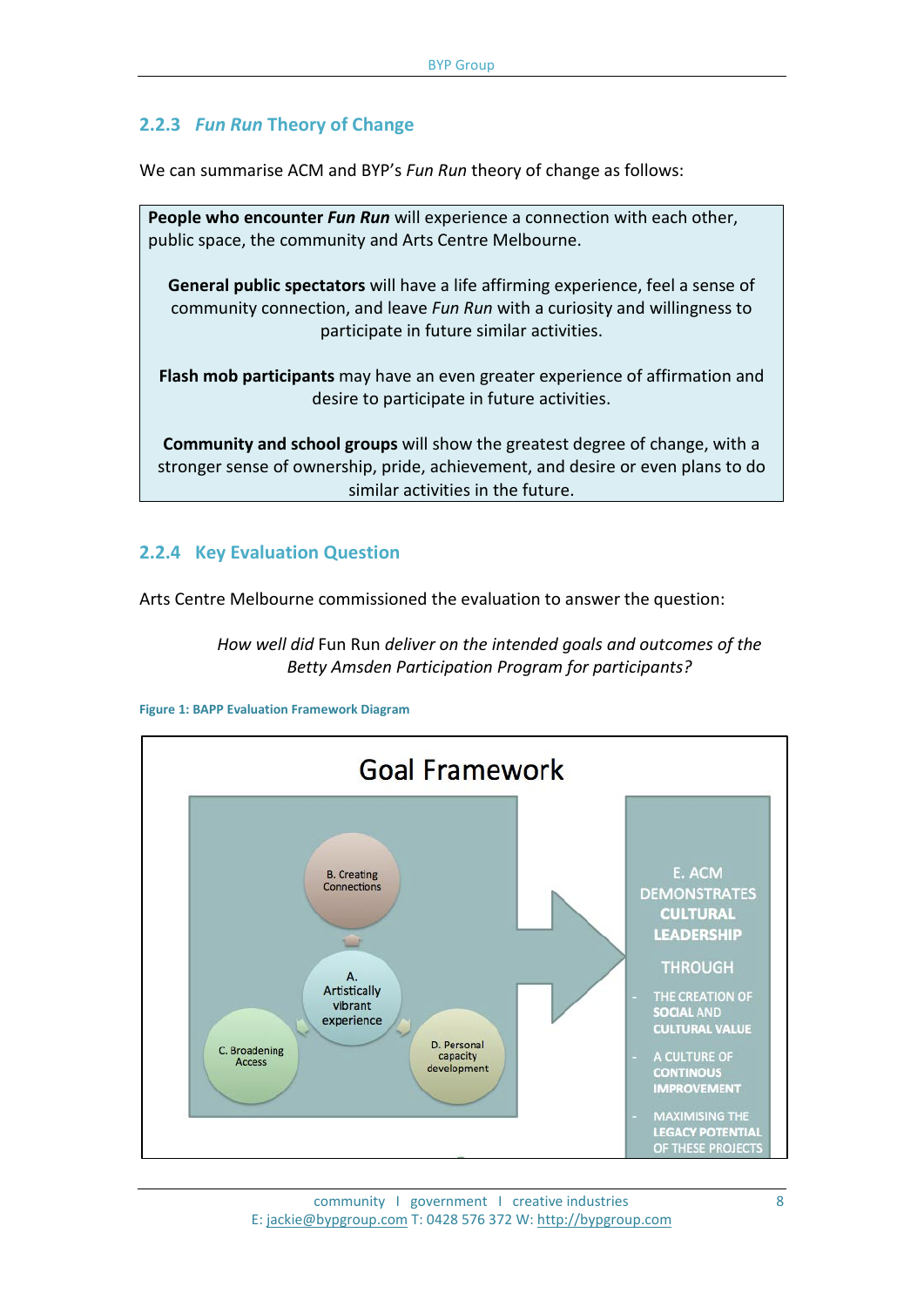### **2.2.3** *Fun Run* **Theory of Change**

We can summarise ACM and BYP's *Fun Run* theory of change as follows:

**People who encounter** *Fun Run* will experience a connection with each other, public space, the community and Arts Centre Melbourne. **General public spectators** will have a life affirming experience, feel a sense of community connection, and leave *Fun Run* with a curiosity and willingness to participate in future similar activities. **Flash mob participants** may have an even greater experience of affirmation and desire to participate in future activities. **Community and school groups** will show the greatest degree of change, with a

stronger sense of ownership, pride, achievement, and desire or even plans to do similar activities in the future.

#### **2.2.4 Key Evaluation Question**

Arts Centre Melbourne commissioned the evaluation to answer the question:

*How well did* Fun Run *deliver on the intended goals and outcomes of the Betty Amsden Participation Program for participants?*



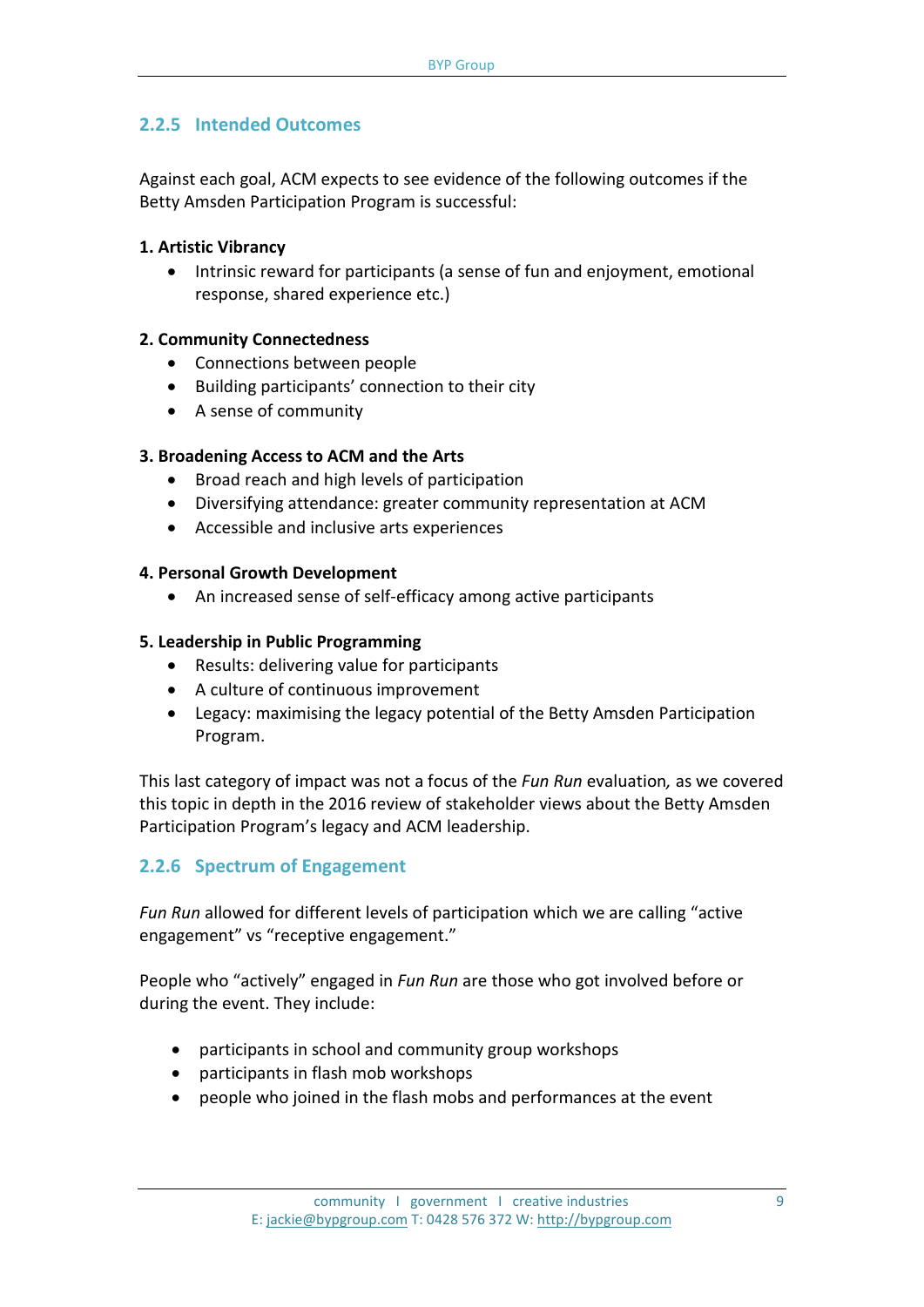### **2.2.5 Intended Outcomes**

Against each goal, ACM expects to see evidence of the following outcomes if the Betty Amsden Participation Program is successful:

#### **1. Artistic Vibrancy**

• Intrinsic reward for participants (a sense of fun and enjoyment, emotional response, shared experience etc.)

#### **2. Community Connectedness**

- Connections between people
- Building participants' connection to their city
- A sense of community

#### **3. Broadening Access to ACM and the Arts**

- Broad reach and high levels of participation
- Diversifying attendance: greater community representation at ACM
- Accessible and inclusive arts experiences

#### **4. Personal Growth Development**

• An increased sense of self-efficacy among active participants

#### **5. Leadership in Public Programming**

- Results: delivering value for participants
- A culture of continuous improvement
- Legacy: maximising the legacy potential of the Betty Amsden Participation Program.

This last category of impact was not a focus of the *Fun Run* evaluation*,* as we covered this topic in depth in the 2016 review of stakeholder views about the Betty Amsden Participation Program's legacy and ACM leadership.

### **2.2.6 Spectrum of Engagement**

*Fun Run* allowed for different levels of participation which we are calling "active engagement" vs "receptive engagement."

People who "actively" engaged in *Fun Run* are those who got involved before or during the event. They include:

- participants in school and community group workshops
- participants in flash mob workshops
- people who joined in the flash mobs and performances at the event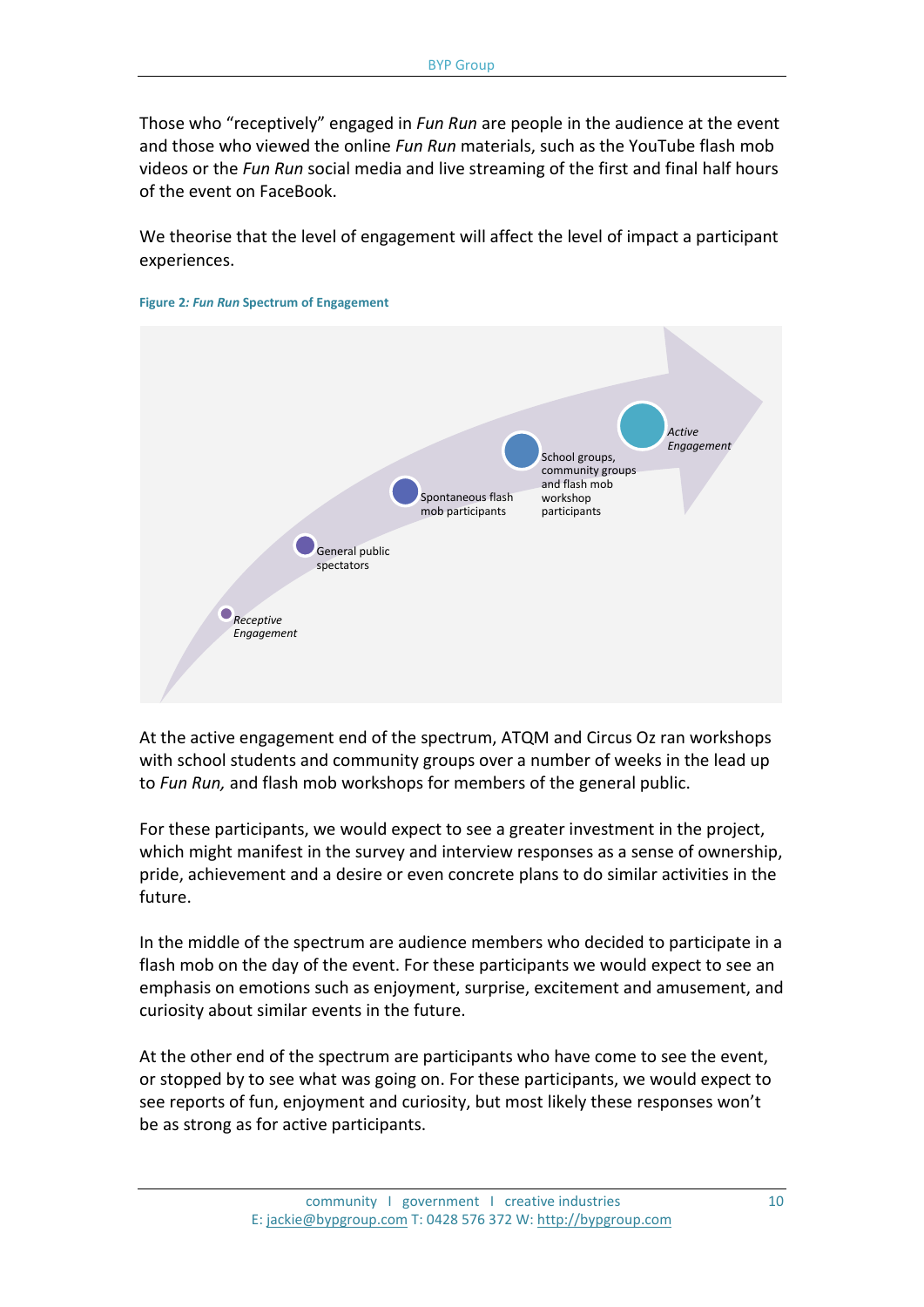Those who "receptively" engaged in *Fun Run* are people in the audience at the event and those who viewed the online *Fun Run* materials, such as the YouTube flash mob videos or the *Fun Run* social media and live streaming of the first and final half hours of the event on FaceBook.

We theorise that the level of engagement will affect the level of impact a participant experiences.



**Figure 2***: Fun Run* **Spectrum of Engagement**

At the active engagement end of the spectrum, ATQM and Circus Oz ran workshops with school students and community groups over a number of weeks in the lead up to *Fun Run,* and flash mob workshops for members of the general public.

For these participants, we would expect to see a greater investment in the project, which might manifest in the survey and interview responses as a sense of ownership, pride, achievement and a desire or even concrete plans to do similar activities in the future.

In the middle of the spectrum are audience members who decided to participate in a flash mob on the day of the event. For these participants we would expect to see an emphasis on emotions such as enjoyment, surprise, excitement and amusement, and curiosity about similar events in the future.

At the other end of the spectrum are participants who have come to see the event, or stopped by to see what was going on. For these participants, we would expect to see reports of fun, enjoyment and curiosity, but most likely these responses won't be as strong as for active participants.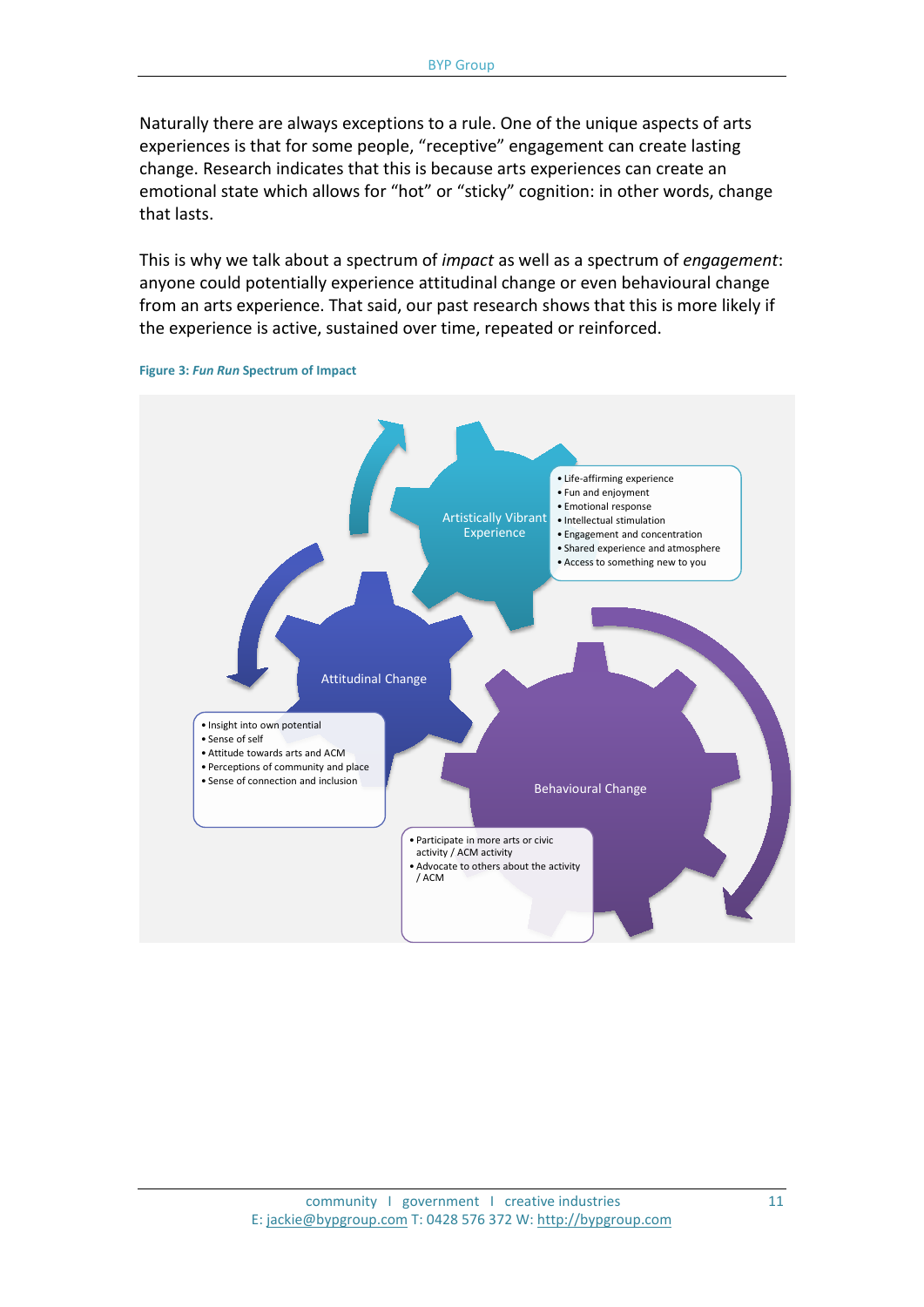Naturally there are always exceptions to a rule. One of the unique aspects of arts experiences is that for some people, "receptive" engagement can create lasting change. Research indicates that this is because arts experiences can create an emotional state which allows for "hot" or "sticky" cognition: in other words, change that lasts.

This is why we talk about a spectrum of *impact* as well as a spectrum of *engagement*: anyone could potentially experience attitudinal change or even behavioural change from an arts experience. That said, our past research shows that this is more likely if the experience is active, sustained over time, repeated or reinforced.



**Figure 3:** *Fun Run* **Spectrum of Impact**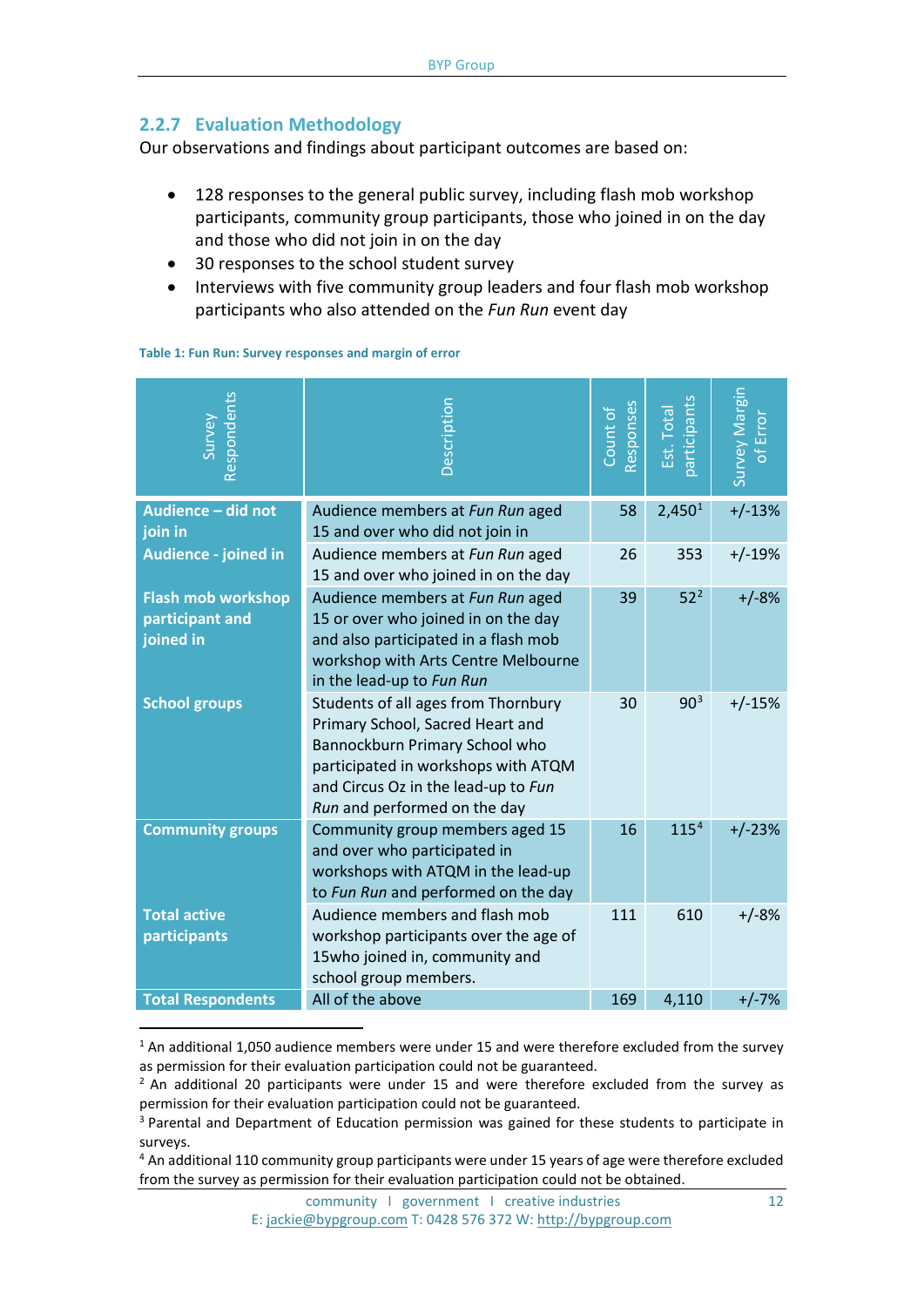#### **2.2.7 Evaluation Methodology**

Our observations and findings about participant outcomes are based on:

- 128 responses to the general public survey, including flash mob workshop participants, community group participants, those who joined in on the day and those who did not join in on the day
- 30 responses to the school student survey
- Interviews with five community group leaders and four flash mob workshop participants who also attended on the *Fun Run* event day

| Respondents<br>Survey                                     | Description                                                                                                                                                                                                             | Responses<br>Count of | <b>participants</b><br>Est. Tota | Survey Margin<br>of Error |
|-----------------------------------------------------------|-------------------------------------------------------------------------------------------------------------------------------------------------------------------------------------------------------------------------|-----------------------|----------------------------------|---------------------------|
| Audience - did not<br>join in                             | Audience members at Fun Run aged<br>15 and over who did not join in                                                                                                                                                     | 58                    | 2,450 <sup>1</sup>               | $+/-13%$                  |
| Audience - joined in                                      | Audience members at Fun Run aged<br>15 and over who joined in on the day                                                                                                                                                | 26                    | 353                              | $+/-19%$                  |
| <b>Flash mob workshop</b><br>participant and<br>joined in | Audience members at Fun Run aged<br>15 or over who joined in on the day<br>and also participated in a flash mob<br>workshop with Arts Centre Melbourne<br>in the lead-up to Fun Run                                     | 39                    | 52 <sup>2</sup>                  | $+/-8%$                   |
| <b>School groups</b>                                      | Students of all ages from Thornbury<br>Primary School, Sacred Heart and<br>Bannockburn Primary School who<br>participated in workshops with ATQM<br>and Circus Oz in the lead-up to Fun<br>Run and performed on the day | 30                    | $90^{3}$                         | $+/-15%$                  |
| <b>Community groups</b>                                   | Community group members aged 15<br>and over who participated in<br>workshops with ATQM in the lead-up<br>to Fun Run and performed on the day                                                                            | 16                    | 115 <sup>4</sup>                 | $+/-23%$                  |
| <b>Total active</b><br>participants                       | Audience members and flash mob<br>workshop participants over the age of<br>15who joined in, community and<br>school group members.                                                                                      | 111                   | 610                              | $+/-8%$                   |
| <b>Total Respondents</b>                                  | All of the above                                                                                                                                                                                                        | 169                   | 4,110                            | $+/-7%$                   |

**Table 1: Fun Run: Survey responses and margin of error**

<span id="page-11-0"></span><sup>&</sup>lt;sup>1</sup> An additional 1,050 audience members were under 15 and were therefore excluded from the survey as permission for their evaluation participation could not be guaranteed.

<span id="page-11-1"></span> $2$  An additional 20 participants were under 15 and were therefore excluded from the survey as permission for their evaluation participation could not be guaranteed.

<span id="page-11-2"></span><sup>&</sup>lt;sup>3</sup> Parental and Department of Education permission was gained for these students to participate in surveys.

<span id="page-11-3"></span><sup>4</sup> An additional 110 community group participants were under 15 years of age were therefore excluded from the survey as permission for their evaluation participation could not be obtained.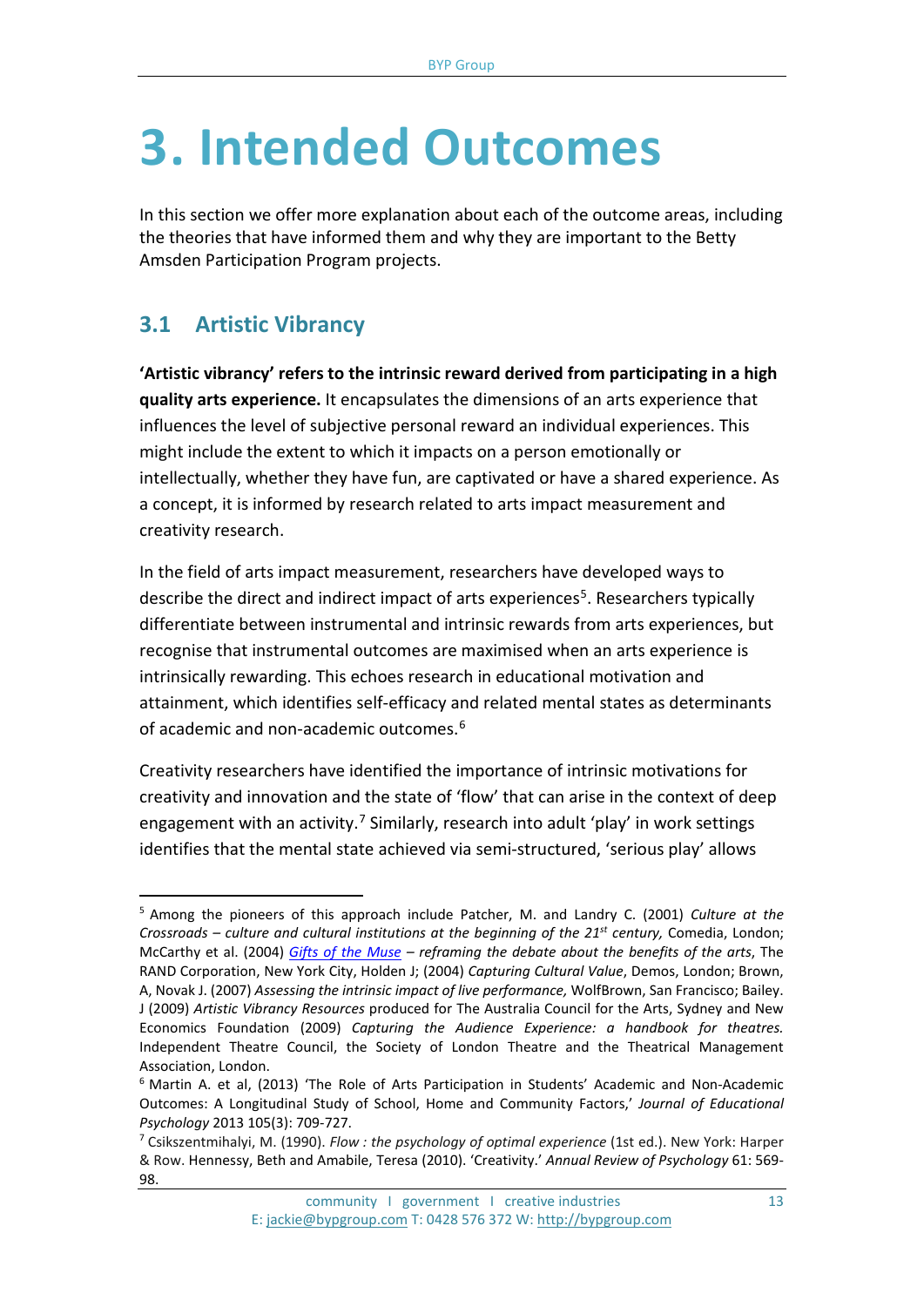## **3. Intended Outcomes**

In this section we offer more explanation about each of the outcome areas, including the theories that have informed them and why they are important to the Betty Amsden Participation Program projects.

## **3.1 Artistic Vibrancy**

**'Artistic vibrancy' refers to the intrinsic reward derived from participating in a high quality arts experience.** It encapsulates the dimensions of an arts experience that influences the level of subjective personal reward an individual experiences. This might include the extent to which it impacts on a person emotionally or intellectually, whether they have fun, are captivated or have a shared experience. As a concept, it is informed by research related to arts impact measurement and creativity research.

In the field of arts impact measurement, researchers have developed ways to describe the direct and indirect impact of arts experiences<sup>[5](#page-12-0)</sup>. Researchers typically differentiate between instrumental and intrinsic rewards from arts experiences, but recognise that instrumental outcomes are maximised when an arts experience is intrinsically rewarding. This echoes research in educational motivation and attainment, which identifies self-efficacy and related mental states as determinants of academic and non-academic outcomes.[6](#page-12-1)

Creativity researchers have identified the importance of intrinsic motivations for creativity and innovation and the state of 'flow' that can arise in the context of deep engagement with an activity.<sup>[7](#page-12-2)</sup> Similarly, research into adult 'play' in work settings identifies that the mental state achieved via semi-structured, 'serious play' allows

<span id="page-12-0"></span><sup>5</sup> Among the pioneers of this approach include Patcher, M. and Landry C. (2001) *Culture at the Crossroads – culture and cultural institutions at the beginning of the 21st century,* Comedia, London; McCarthy et al. (2004) *[Gifts of the Muse](http://www.rand.org/pubs/monographs/2005/RAND_MG218.pdf) – reframing the debate about the benefits of the arts*, The RAND Corporation, New York City, Holden J; (2004) *Capturing Cultural Value*, Demos, London; Brown, A, Novak J. (2007) *Assessing the intrinsic impact of live performance,* WolfBrown, San Francisco; Bailey. J (2009) *Artistic Vibrancy Resources* produced for The Australia Council for the Arts, Sydney and New Economics Foundation (2009) *Capturing the Audience Experience: a handbook for theatres.* Independent Theatre Council, the Society of London Theatre and the Theatrical Management Association, London.  $\overline{a}$ 

<span id="page-12-1"></span><sup>6</sup> Martin A. et al, (2013) 'The Role of Arts Participation in Students' Academic and Non-Academic Outcomes: A Longitudinal Study of School, Home and Community Factors,' *Journal of Educational Psychology* 2013 105(3): 709-727.

<span id="page-12-2"></span><sup>7</sup> Csikszentmihalyi, M. (1990). *Flow : the psychology of optimal experience* (1st ed.). New York: Harper & Row. Hennessy, Beth and Amabile, Teresa (2010). 'Creativity.' *Annual Review of Psychology* 61: 569- 98.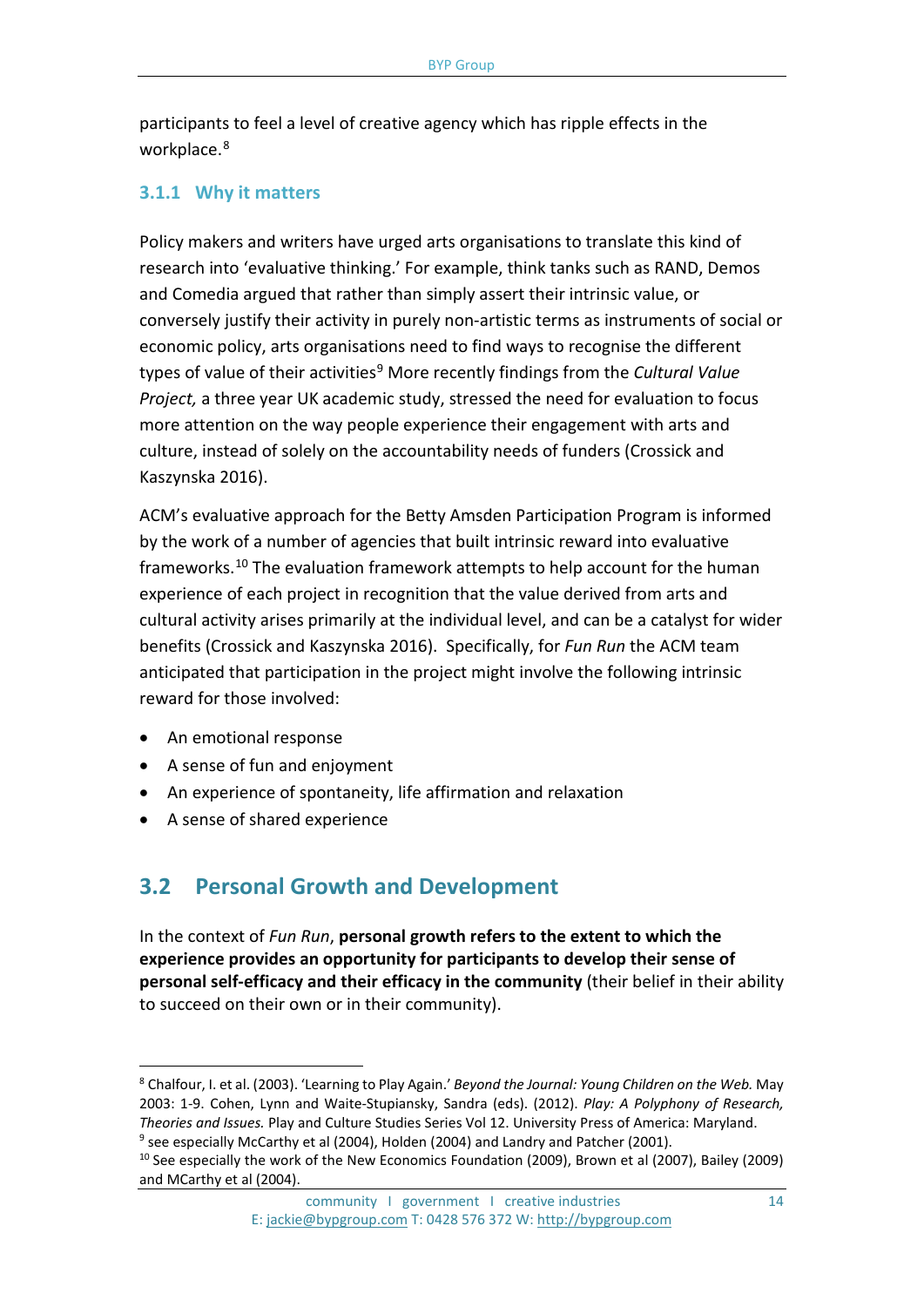participants to feel a level of creative agency which has ripple effects in the workplace.<sup>[8](#page-13-0)</sup>

#### **3.1.1 Why it matters**

Policy makers and writers have urged arts organisations to translate this kind of research into 'evaluative thinking.' For example, think tanks such as RAND, Demos and Comedia argued that rather than simply assert their intrinsic value, or conversely justify their activity in purely non-artistic terms as instruments of social or economic policy, arts organisations need to find ways to recognise the different types of value of their activities[9](#page-13-1) More recently findings from the *Cultural Value Project,* a three year UK academic study, stressed the need for evaluation to focus more attention on the way people experience their engagement with arts and culture, instead of solely on the accountability needs of funders (Crossick and Kaszynska 2016).

ACM's evaluative approach for the Betty Amsden Participation Program is informed by the work of a number of agencies that built intrinsic reward into evaluative frameworks.[10](#page-13-2) The evaluation framework attempts to help account for the human experience of each project in recognition that the value derived from arts and cultural activity arises primarily at the individual level, and can be a catalyst for wider benefits (Crossick and Kaszynska 2016). Specifically, for *Fun Run* the ACM team anticipated that participation in the project might involve the following intrinsic reward for those involved:

• An emotional response

 $\overline{a}$ 

- A sense of fun and enjoyment
- An experience of spontaneity, life affirmation and relaxation
- A sense of shared experience

## **3.2 Personal Growth and Development**

In the context of *Fun Run*, **personal growth refers to the extent to which the experience provides an opportunity for participants to develop their sense of personal self-efficacy and their efficacy in the community** (their belief in their ability to succeed on their own or in their community).

<span id="page-13-0"></span><sup>8</sup> Chalfour, I. et al. (2003). 'Learning to Play Again.' *Beyond the Journal: Young Children on the Web.* May 2003: 1-9. Cohen, Lynn and Waite-Stupiansky, Sandra (eds). (2012). *Play: A Polyphony of Research, Theories and Issues.* Play and Culture Studies Series Vol 12. University Press of America: Maryland.  $9$  see especially McCarthy et al (2004), Holden (2004) and Landry and Patcher (2001).

<span id="page-13-2"></span><span id="page-13-1"></span><sup>&</sup>lt;sup>10</sup> See especially the work of the New Economics Foundation (2009), Brown et al (2007), Bailey (2009) and MCarthy et al (2004).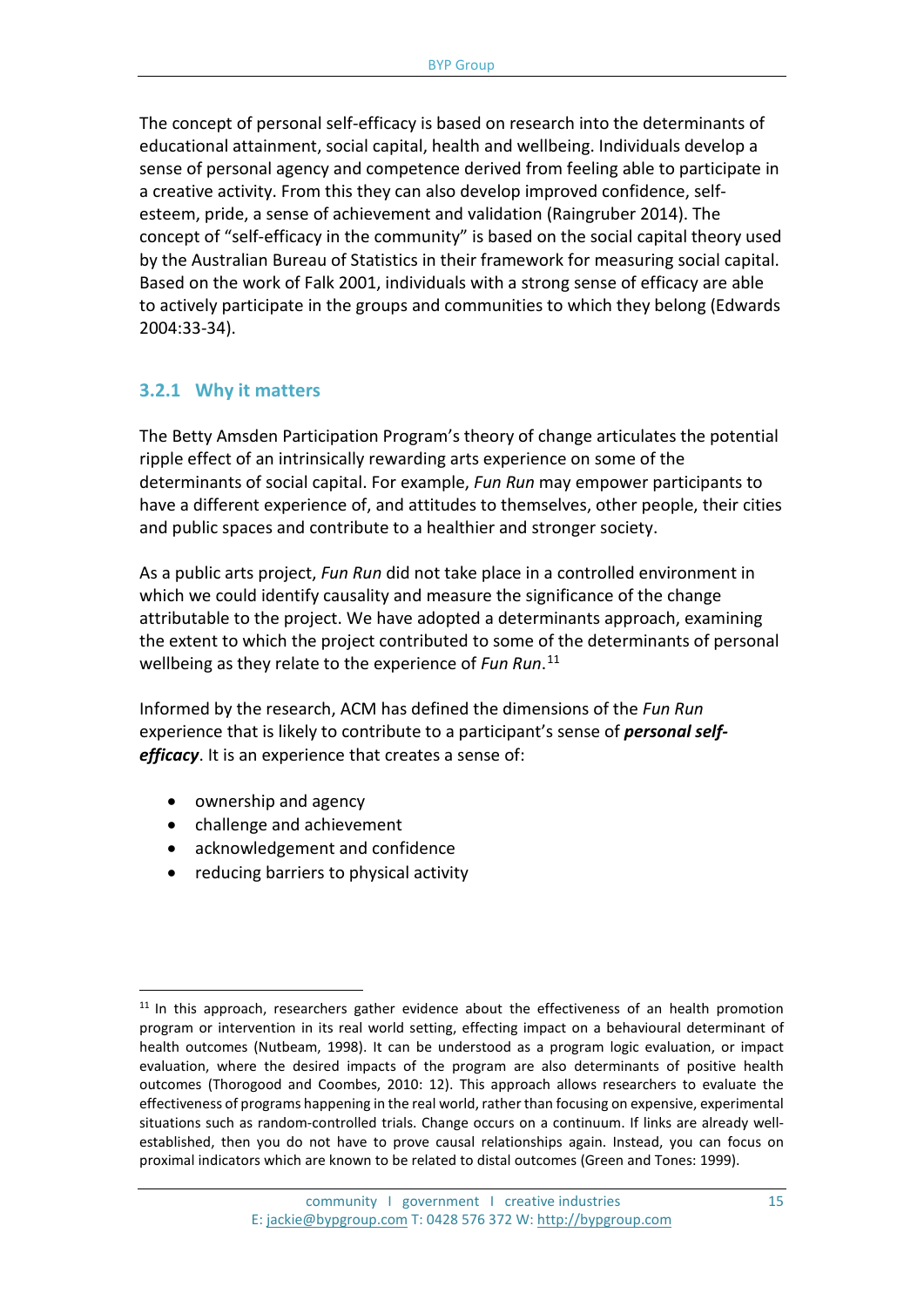The concept of personal self-efficacy is based on research into the determinants of educational attainment, social capital, health and wellbeing. Individuals develop a sense of personal agency and competence derived from feeling able to participate in a creative activity. From this they can also develop improved confidence, selfesteem, pride, a sense of achievement and validation (Raingruber 2014). The concept of "self-efficacy in the community" is based on the social capital theory used by the Australian Bureau of Statistics in their framework for measuring social capital. Based on the work of Falk 2001, individuals with a strong sense of efficacy are able to actively participate in the groups and communities to which they belong (Edwards 2004:33-34).

#### **3.2.1 Why it matters**

The Betty Amsden Participation Program's theory of change articulates the potential ripple effect of an intrinsically rewarding arts experience on some of the determinants of social capital. For example, *Fun Run* may empower participants to have a different experience of, and attitudes to themselves, other people, their cities and public spaces and contribute to a healthier and stronger society.

As a public arts project, *Fun Run* did not take place in a controlled environment in which we could identify causality and measure the significance of the change attributable to the project. We have adopted a determinants approach, examining the extent to which the project contributed to some of the determinants of personal wellbeing as they relate to the experience of *Fun Run*. [11](#page-14-0) 

Informed by the research, ACM has defined the dimensions of the *Fun Run*  experience that is likely to contribute to a participant's sense of *personal selfefficacy*. It is an experience that creates a sense of:

- ownership and agency
- challenge and achievement
- acknowledgement and confidence
- reducing barriers to physical activity

<span id="page-14-0"></span> $11$  In this approach, researchers gather evidence about the effectiveness of an health promotion program or intervention in its real world setting, effecting impact on a behavioural determinant of health outcomes (Nutbeam, 1998). It can be understood as a program logic evaluation, or impact evaluation, where the desired impacts of the program are also determinants of positive health outcomes (Thorogood and Coombes, 2010: 12). This approach allows researchers to evaluate the effectiveness of programs happening in the real world, rather than focusing on expensive, experimental situations such as random-controlled trials. Change occurs on a continuum. If links are already wellestablished, then you do not have to prove causal relationships again. Instead, you can focus on proximal indicators which are known to be related to distal outcomes (Green and Tones: 1999).  $\overline{a}$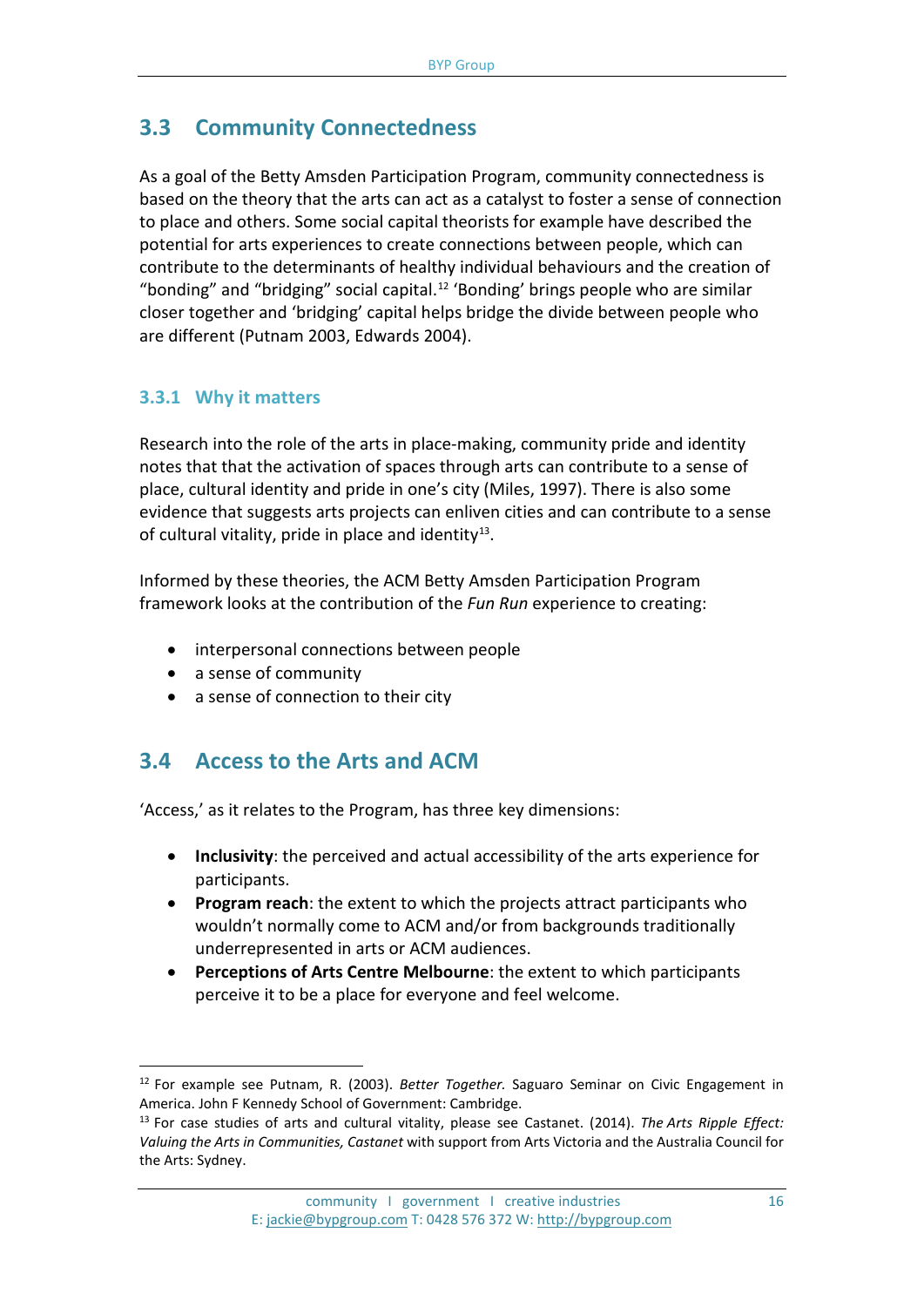## **3.3 Community Connectedness**

As a goal of the Betty Amsden Participation Program, community connectedness is based on the theory that the arts can act as a catalyst to foster a sense of connection to place and others. Some social capital theorists for example have described the potential for arts experiences to create connections between people, which can contribute to the determinants of healthy individual behaviours and the creation of "bonding" and "bridging" social capital. [12](#page-15-0) 'Bonding' brings people who are similar closer together and 'bridging' capital helps bridge the divide between people who are different (Putnam 2003, Edwards 2004).

### **3.3.1 Why it matters**

Research into the role of the arts in place-making, community pride and identity notes that that the activation of spaces through arts can contribute to a sense of place, cultural identity and pride in one's city (Miles, 1997). There is also some evidence that suggests arts projects can enliven cities and can contribute to a sense of cultural vitality, pride in place and identity<sup>13</sup>.

Informed by these theories, the ACM Betty Amsden Participation Program framework looks at the contribution of the *Fun Run* experience to creating:

- interpersonal connections between people
- a sense of community

 $\overline{a}$ 

• a sense of connection to their city

## **3.4 Access to the Arts and ACM**

'Access,' as it relates to the Program, has three key dimensions:

- **Inclusivity**: the perceived and actual accessibility of the arts experience for participants.
- **Program reach**: the extent to which the projects attract participants who wouldn't normally come to ACM and/or from backgrounds traditionally underrepresented in arts or ACM audiences.
- **Perceptions of Arts Centre Melbourne**: the extent to which participants perceive it to be a place for everyone and feel welcome.

<span id="page-15-0"></span><sup>12</sup> For example see Putnam, R. (2003). *Better Together.* Saguaro Seminar on Civic Engagement in America. John F Kennedy School of Government: Cambridge.

<span id="page-15-1"></span><sup>13</sup> For case studies of arts and cultural vitality, please see Castanet. (2014). *The [Arts Ripple Effect:](http://castanet.net.au/wp-content/uploads/Arts-Ripple-Effect-Full.pdf)  [Valuing the Arts in Communities,](http://castanet.net.au/wp-content/uploads/Arts-Ripple-Effect-Full.pdf) Castanet* with support from Arts Victoria and the Australia Council for the Arts: Sydney.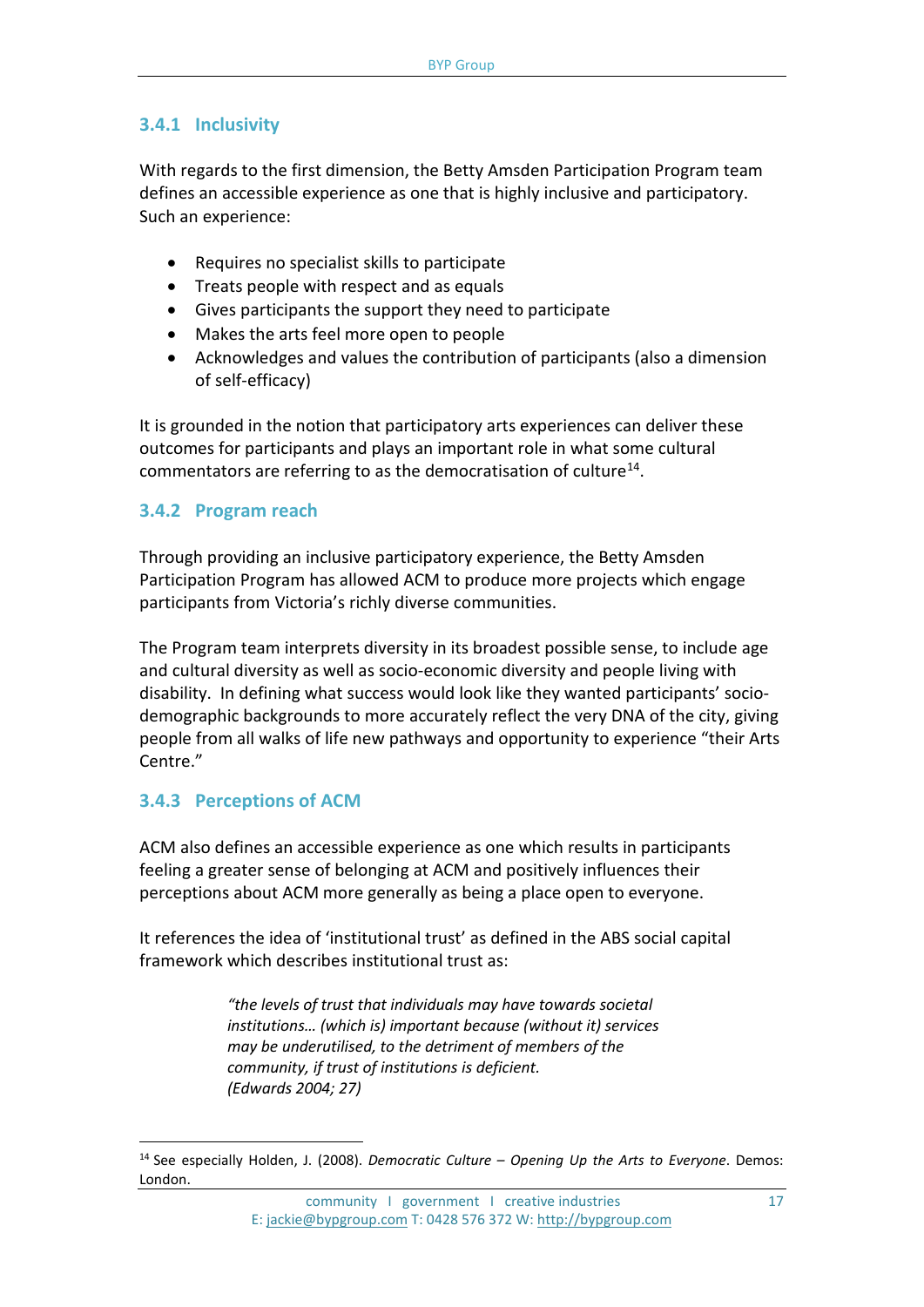#### **3.4.1 Inclusivity**

With regards to the first dimension, the Betty Amsden Participation Program team defines an accessible experience as one that is highly inclusive and participatory. Such an experience:

- Requires no specialist skills to participate
- Treats people with respect and as equals
- Gives participants the support they need to participate
- Makes the arts feel more open to people
- Acknowledges and values the contribution of participants (also a dimension of self-efficacy)

It is grounded in the notion that participatory arts experiences can deliver these outcomes for participants and plays an important role in what some cultural commentators are referring to as the democratisation of culture<sup>[14](#page-16-0)</sup>.

#### **3.4.2 Program reach**

Through providing an inclusive participatory experience, the Betty Amsden Participation Program has allowed ACM to produce more projects which engage participants from Victoria's richly diverse communities.

The Program team interprets diversity in its broadest possible sense, to include age and cultural diversity as well as socio-economic diversity and people living with disability. In defining what success would look like they wanted participants' sociodemographic backgrounds to more accurately reflect the very DNA of the city, giving people from all walks of life new pathways and opportunity to experience "their Arts Centre."

#### **3.4.3 Perceptions of ACM**

 $\overline{a}$ 

ACM also defines an accessible experience as one which results in participants feeling a greater sense of belonging at ACM and positively influences their perceptions about ACM more generally as being a place open to everyone.

It references the idea of 'institutional trust' as defined in the ABS social capital framework which describes institutional trust as:

> *"the levels of trust that individuals may have towards societal institutions… (which is) important because (without it) services may be underutilised, to the detriment of members of the community, if trust of institutions is deficient. (Edwards 2004; 27)*

community I government I creative industries 17 E: [jackie@bypgroup.com](mailto:jackie@bypgroup.com) T: 0428 576 372 W[: http://bypgroup.com](http://bypgroup.com/)

<span id="page-16-0"></span><sup>14</sup> See especially Holden, J. (2008). *Democratic Culture – Opening Up the Arts to Everyone*. Demos: London.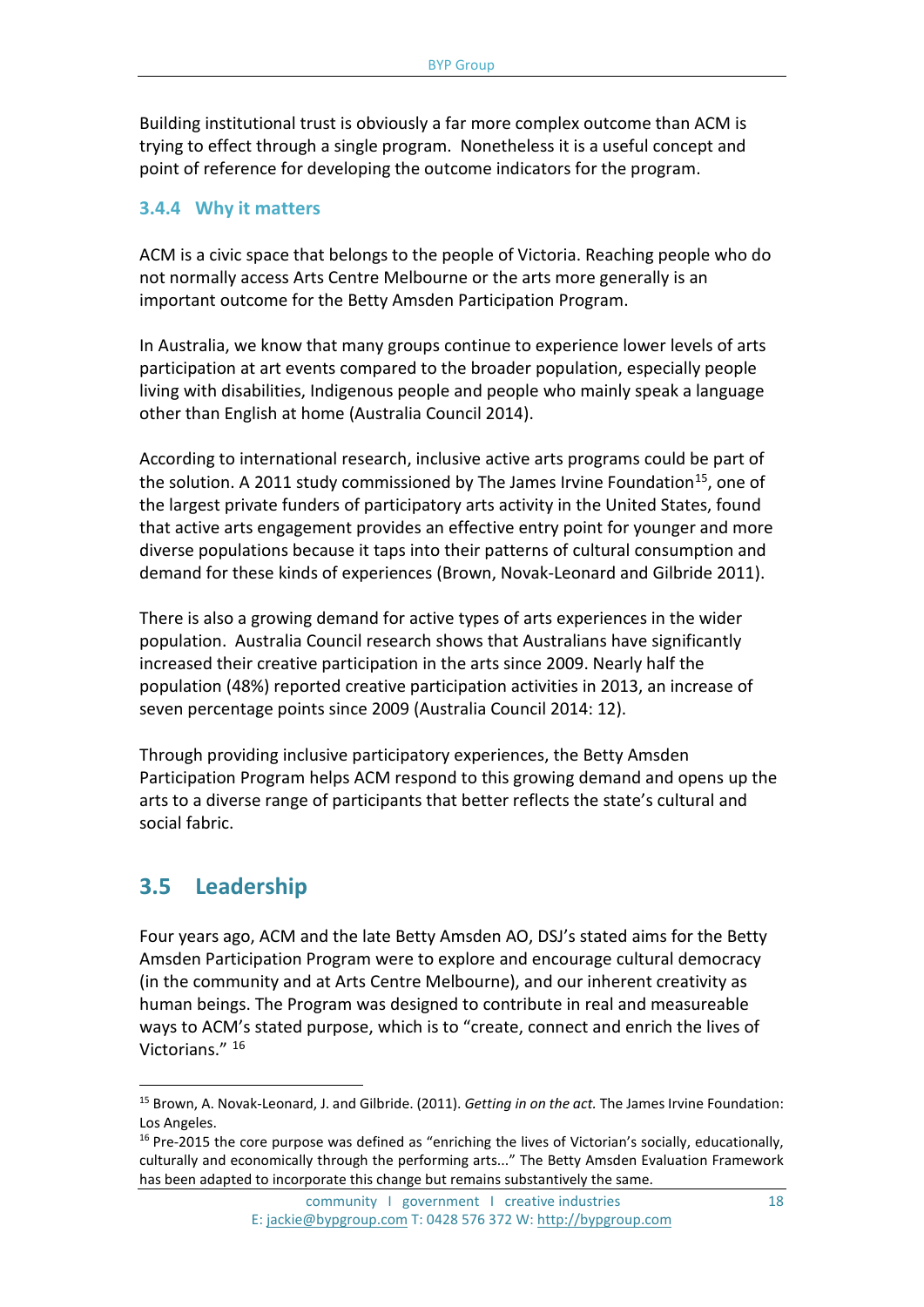Building institutional trust is obviously a far more complex outcome than ACM is trying to effect through a single program. Nonetheless it is a useful concept and point of reference for developing the outcome indicators for the program.

#### **3.4.4 Why it matters**

ACM is a civic space that belongs to the people of Victoria. Reaching people who do not normally access Arts Centre Melbourne or the arts more generally is an important outcome for the Betty Amsden Participation Program.

In Australia, we know that many groups continue to experience lower levels of arts participation at art events compared to the broader population, especially people living with disabilities, Indigenous people and people who mainly speak a language other than English at home (Australia Council 2014).

According to international research, inclusive active arts programs could be part of the solution. A 2011 study commissioned by The James Irvine Foundation<sup>[15](#page-17-0)</sup>, one of the largest private funders of participatory arts activity in the United States, found that active arts engagement provides an effective entry point for younger and more diverse populations because it taps into their patterns of cultural consumption and demand for these kinds of experiences (Brown, Novak-Leonard and Gilbride 2011).

There is also a growing demand for active types of arts experiences in the wider population. Australia Council research shows that Australians have significantly increased their creative participation in the arts since 2009. Nearly half the population (48%) reported creative participation activities in 2013, an increase of seven percentage points since 2009 (Australia Council 2014: 12).

Through providing inclusive participatory experiences, the Betty Amsden Participation Program helps ACM respond to this growing demand and opens up the arts to a diverse range of participants that better reflects the state's cultural and social fabric.

## **3.5 Leadership**

 $\overline{a}$ 

Four years ago, ACM and the late Betty Amsden AO, DSJ's stated aims for the Betty Amsden Participation Program were to explore and encourage cultural democracy (in the community and at Arts Centre Melbourne), and our inherent creativity as human beings. The Program was designed to contribute in real and measureable ways to ACM's stated purpose, which is to "create, connect and enrich the lives of Victorians." [16](#page-17-1)

<span id="page-17-0"></span><sup>15</sup> Brown, A. Novak-Leonard, J. and Gilbride. (2011). *Getting in on the act.* The James Irvine Foundation: Los Angeles.

<span id="page-17-1"></span> $16$  Pre-2015 the core purpose was defined as "enriching the lives of Victorian's socially, educationally, culturally and economically through the performing arts..." The Betty Amsden Evaluation Framework has been adapted to incorporate this change but remains substantively the same.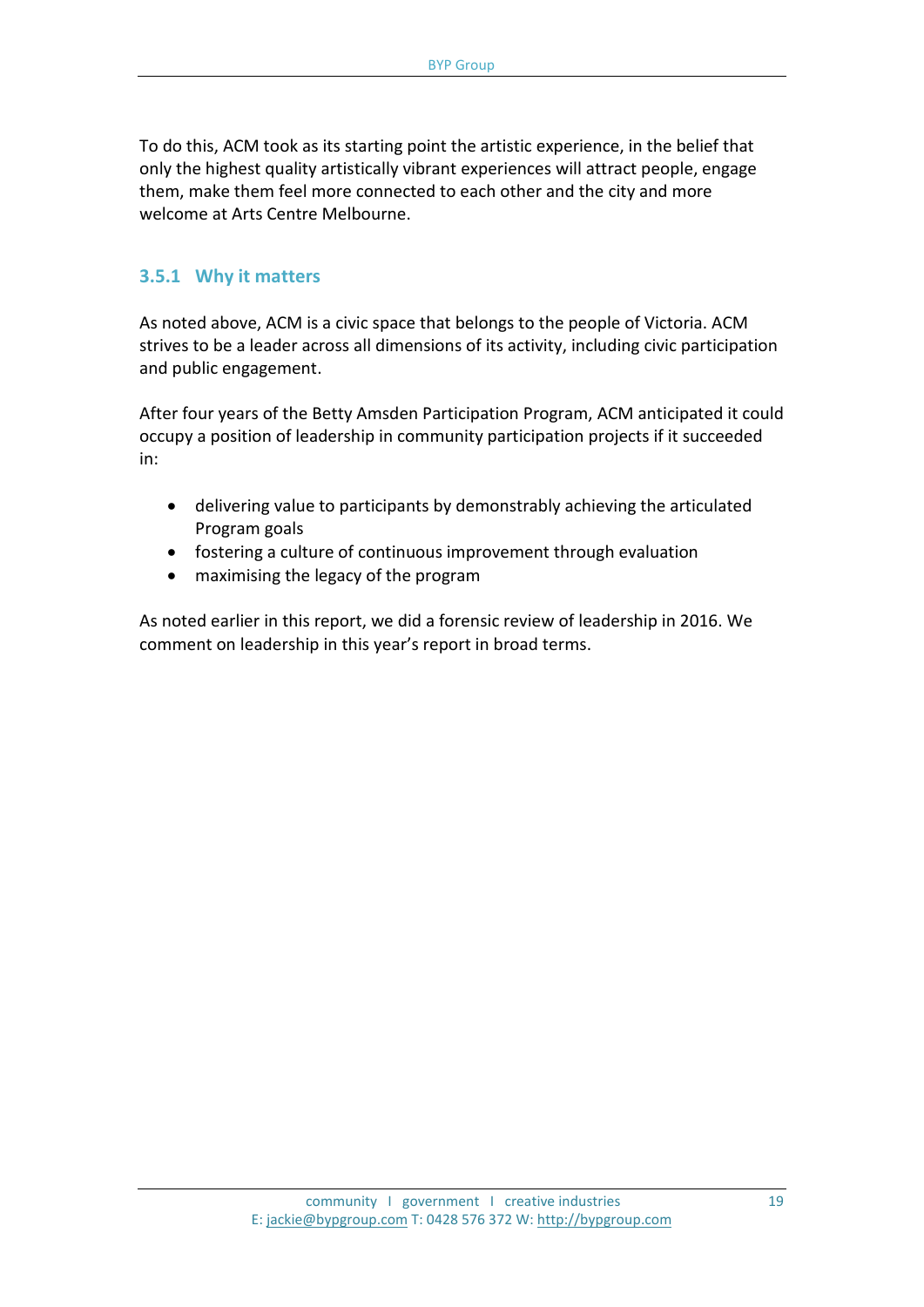To do this, ACM took as its starting point the artistic experience, in the belief that only the highest quality artistically vibrant experiences will attract people, engage them, make them feel more connected to each other and the city and more welcome at Arts Centre Melbourne.

#### **3.5.1 Why it matters**

As noted above, ACM is a civic space that belongs to the people of Victoria. ACM strives to be a leader across all dimensions of its activity, including civic participation and public engagement.

After four years of the Betty Amsden Participation Program, ACM anticipated it could occupy a position of leadership in community participation projects if it succeeded in:

- delivering value to participants by demonstrably achieving the articulated Program goals
- fostering a culture of continuous improvement through evaluation
- maximising the legacy of the program

As noted earlier in this report, we did a forensic review of leadership in 2016. We comment on leadership in this year's report in broad terms.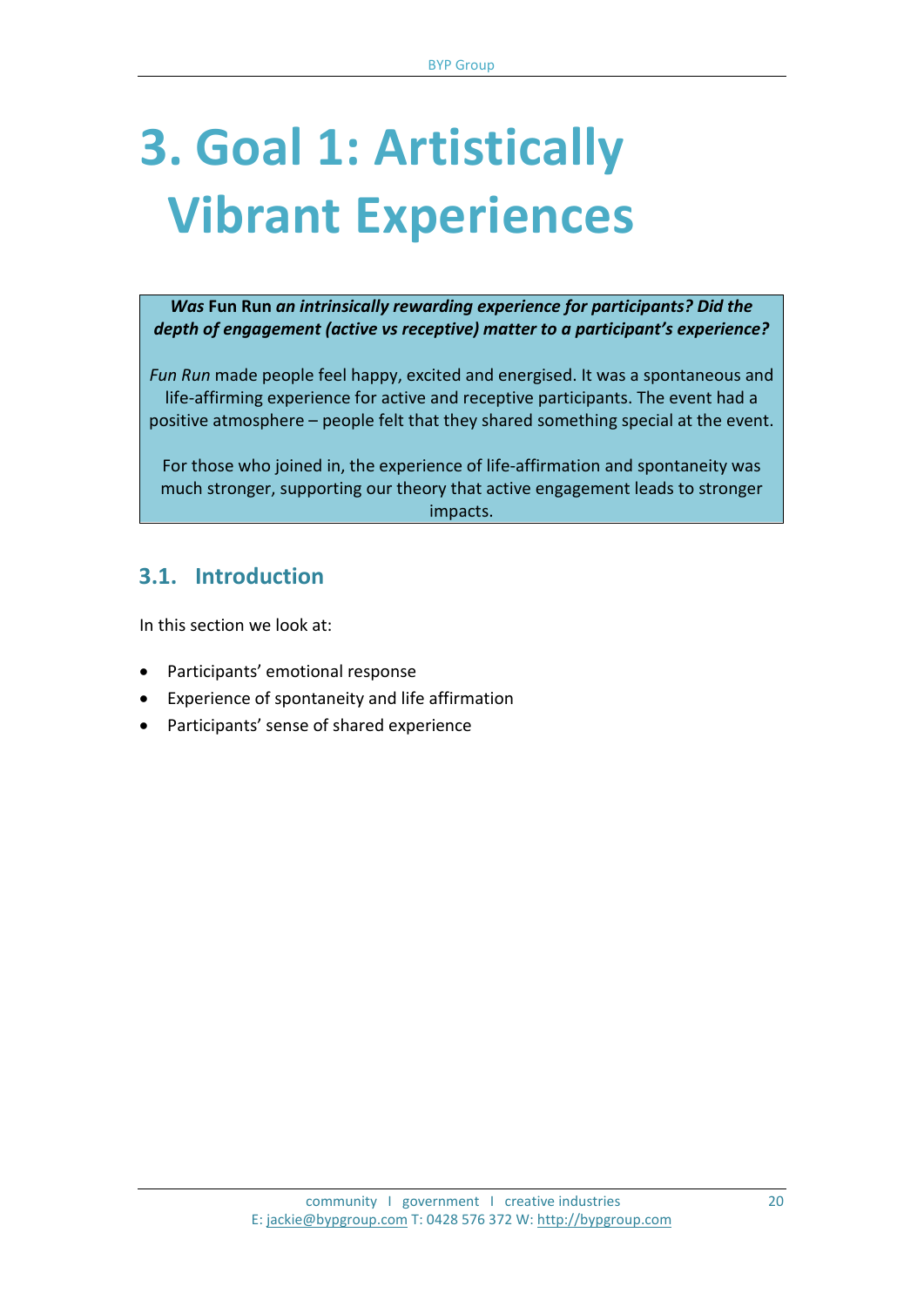## **3. Goal 1: Artistically Vibrant Experiences**

*Was* **Fun Run** *an intrinsically rewarding experience for participants? Did the depth of engagement (active vs receptive) matter to a participant's experience?*

*Fun Run* made people feel happy, excited and energised. It was a spontaneous and life-affirming experience for active and receptive participants. The event had a positive atmosphere – people felt that they shared something special at the event.

For those who joined in, the experience of life-affirmation and spontaneity was much stronger, supporting our theory that active engagement leads to stronger impacts.

## **3.1. Introduction**

In this section we look at:

- Participants' emotional response
- Experience of spontaneity and life affirmation
- Participants' sense of shared experience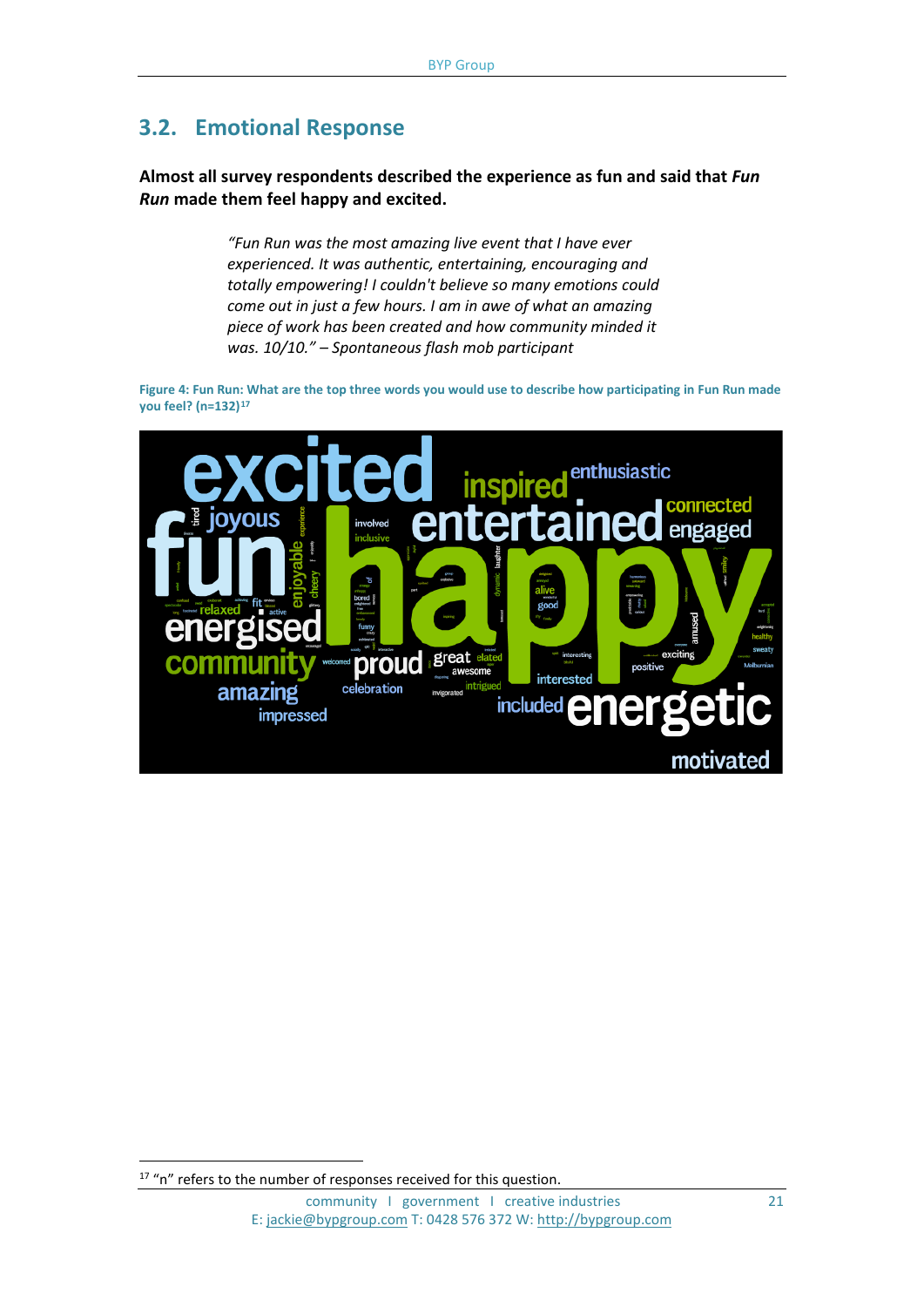## **3.2. Emotional Response**

**Almost all survey respondents described the experience as fun and said that** *Fun Run* **made them feel happy and excited.** 

> *"Fun Run was the most amazing live event that I have ever experienced. It was authentic, entertaining, encouraging and totally empowering! I couldn't believe so many emotions could come out in just a few hours. I am in awe of what an amazing piece of work has been created and how community minded it was. 10/10." – Spontaneous flash mob participant*

**Figure 4: Fun Run: What are the top three words you would use to describe how participating in Fun Run made you feel? (n=132)[17](#page-20-0)**



<span id="page-20-0"></span><sup>&</sup>lt;sup>17</sup> "n" refers to the number of responses received for this question.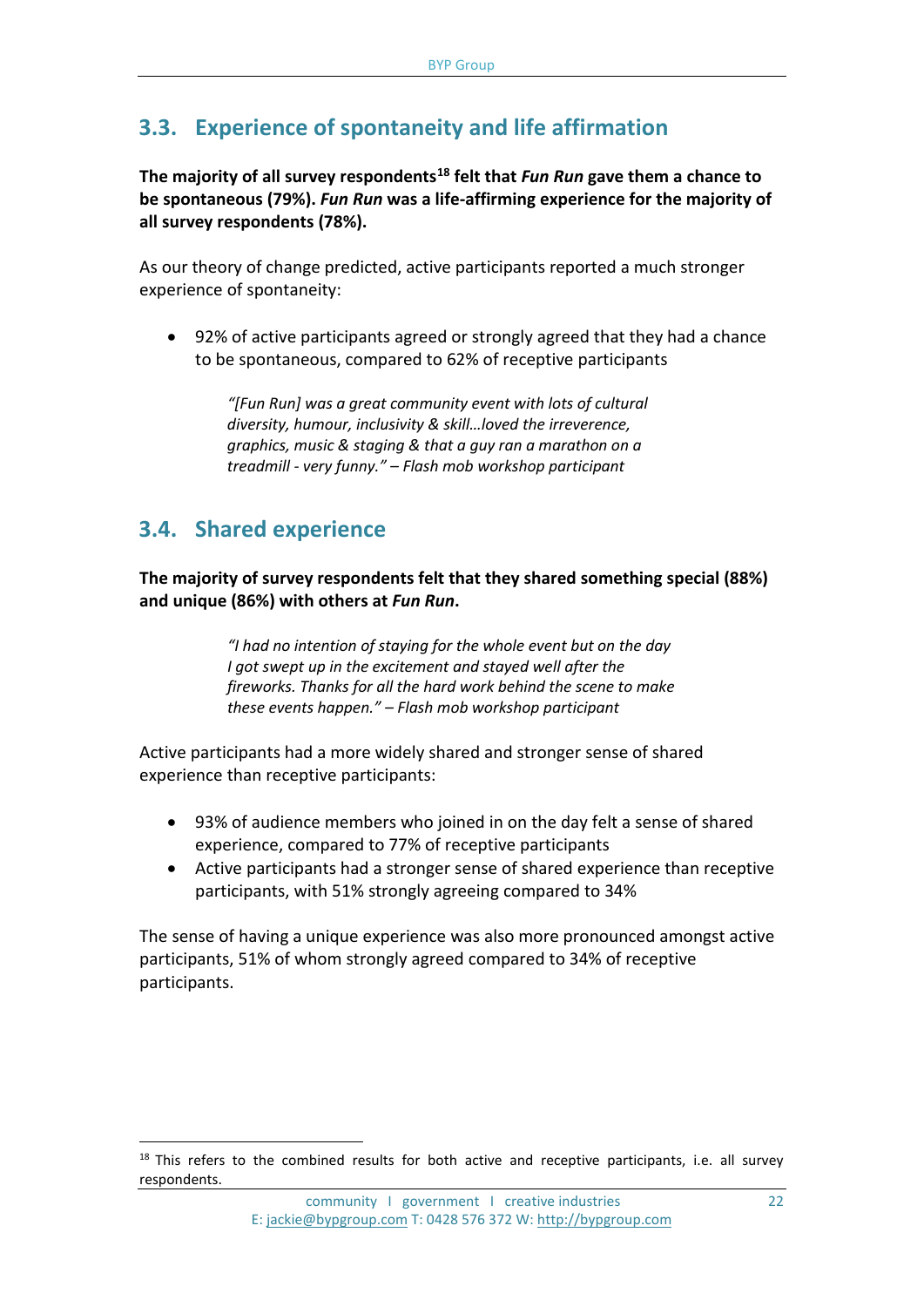## **3.3. Experience of spontaneity and life affirmation**

**The majority of all survey respondents[18](#page-21-0) felt that** *Fun Run* **gave them a chance to be spontaneous (79%).** *Fun Run* **was a life-affirming experience for the majority of all survey respondents (78%).** 

As our theory of change predicted, active participants reported a much stronger experience of spontaneity:

• 92% of active participants agreed or strongly agreed that they had a chance to be spontaneous, compared to 62% of receptive participants

> *"[Fun Run] was a great community event with lots of cultural diversity, humour, inclusivity & skill…loved the irreverence, graphics, music & staging & that a guy ran a marathon on a treadmill - very funny." – Flash mob workshop participant*

## **3.4. Shared experience**

 $\overline{a}$ 

**The majority of survey respondents felt that they shared something special (88%) and unique (86%) with others at** *Fun Run***.**

> *"I had no intention of staying for the whole event but on the day I got swept up in the excitement and stayed well after the fireworks. Thanks for all the hard work behind the scene to make these events happen." – Flash mob workshop participant*

Active participants had a more widely shared and stronger sense of shared experience than receptive participants:

- 93% of audience members who joined in on the day felt a sense of shared experience, compared to 77% of receptive participants
- Active participants had a stronger sense of shared experience than receptive participants, with 51% strongly agreeing compared to 34%

The sense of having a unique experience was also more pronounced amongst active participants, 51% of whom strongly agreed compared to 34% of receptive participants.

<span id="page-21-0"></span><sup>&</sup>lt;sup>18</sup> This refers to the combined results for both active and receptive participants, i.e. all survey respondents.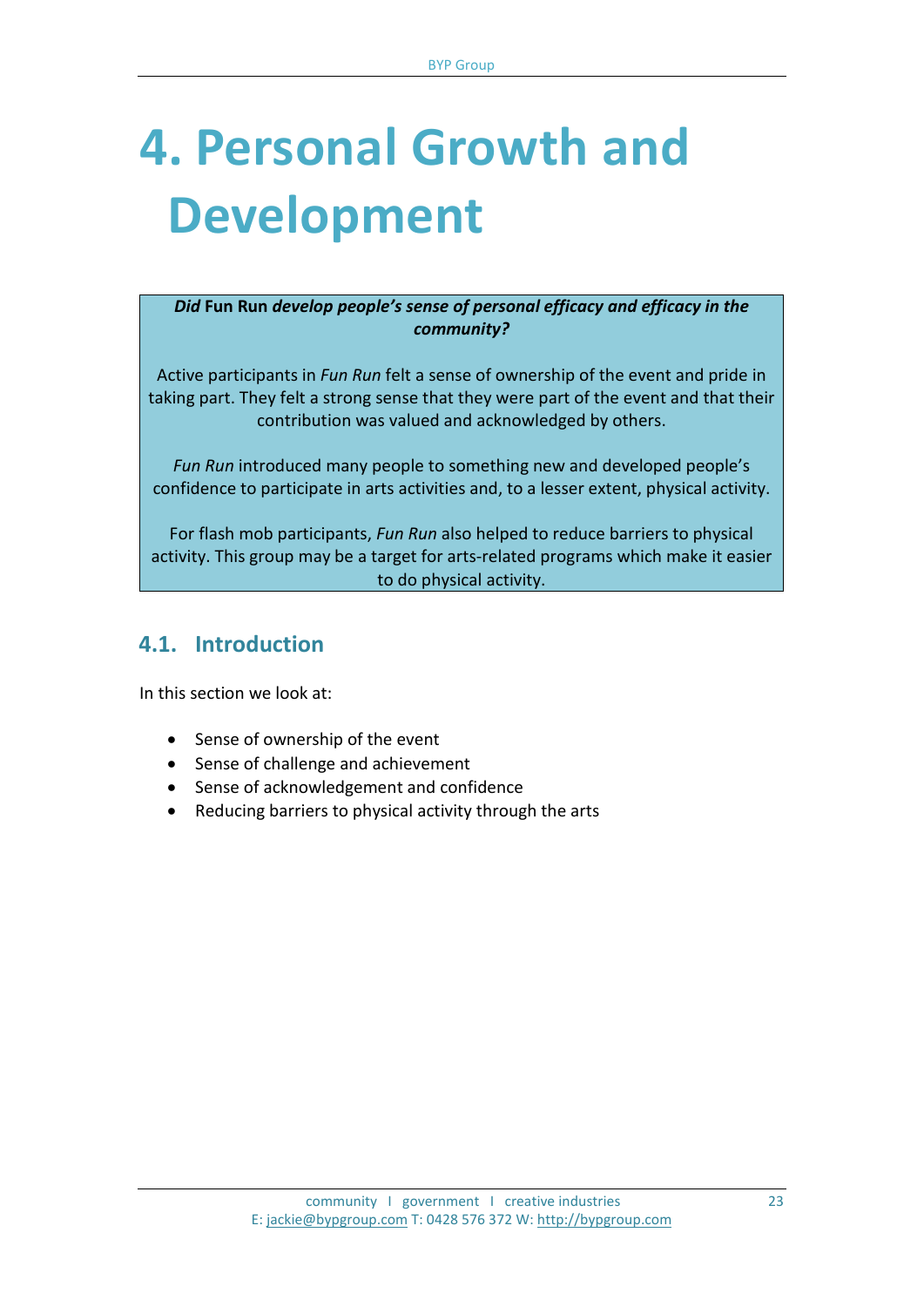## **4. Personal Growth and Development**

*Did* **Fun Run** *develop people's sense of personal efficacy and efficacy in the community?*

Active participants in *Fun Run* felt a sense of ownership of the event and pride in taking part. They felt a strong sense that they were part of the event and that their contribution was valued and acknowledged by others.

*Fun Run* introduced many people to something new and developed people's confidence to participate in arts activities and, to a lesser extent, physical activity.

For flash mob participants, *Fun Run* also helped to reduce barriers to physical activity. This group may be a target for arts-related programs which make it easier to do physical activity.

## **4.1. Introduction**

In this section we look at:

- Sense of ownership of the event
- Sense of challenge and achievement
- Sense of acknowledgement and confidence
- Reducing barriers to physical activity through the arts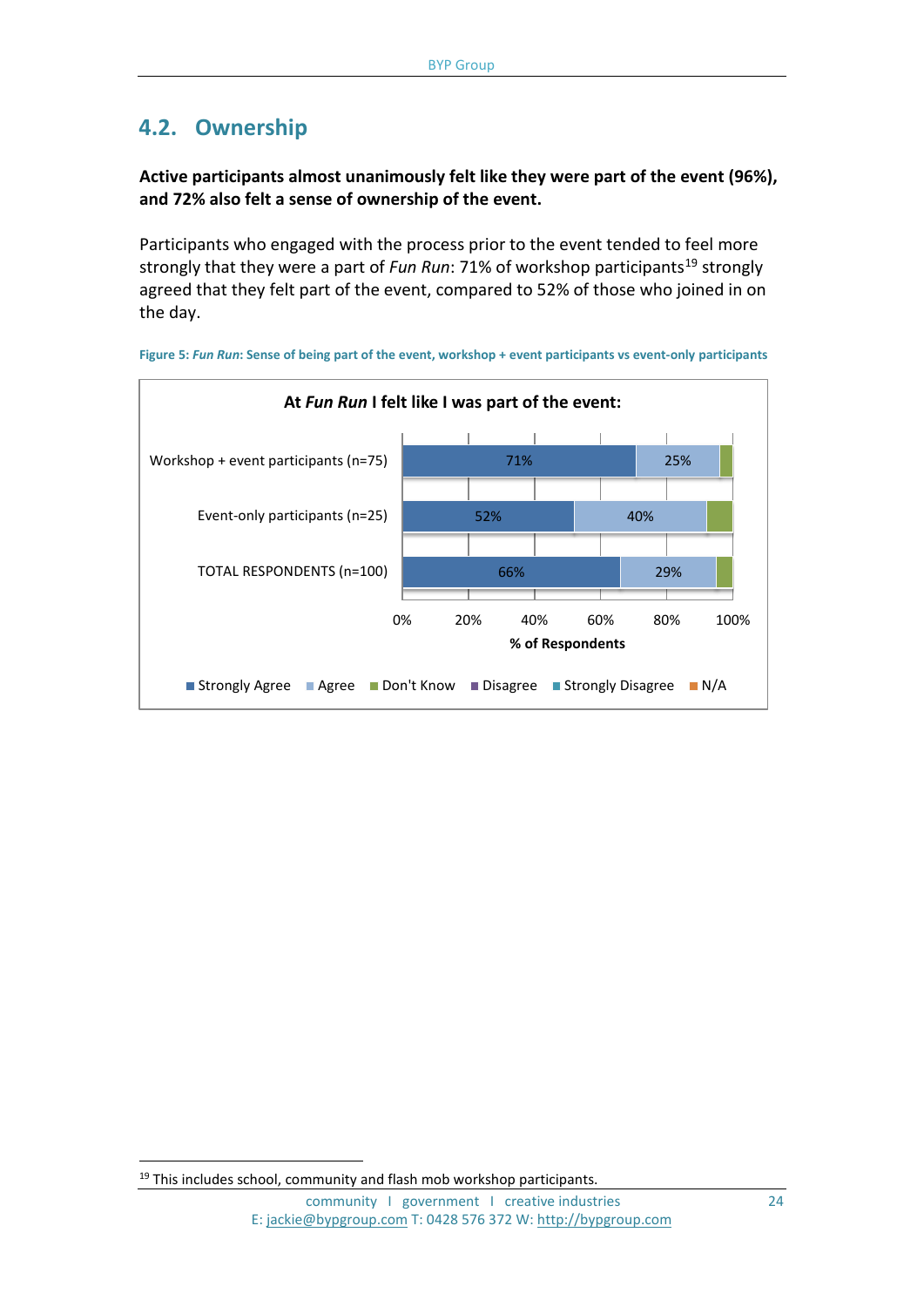## **4.2. Ownership**

#### **Active participants almost unanimously felt like they were part of the event (96%), and 72% also felt a sense of ownership of the event.**

Participants who engaged with the process prior to the event tended to feel more strongly that they were a part of *Fun Run*: 71% of workshop participants<sup>[19](#page-23-0)</sup> strongly agreed that they felt part of the event, compared to 52% of those who joined in on the day.



**Figure 5:** *Fun Run***: Sense of being part of the event, workshop + event participants vs event-only participants** 

<span id="page-23-0"></span><sup>&</sup>lt;sup>19</sup> This includes school, community and flash mob workshop participants.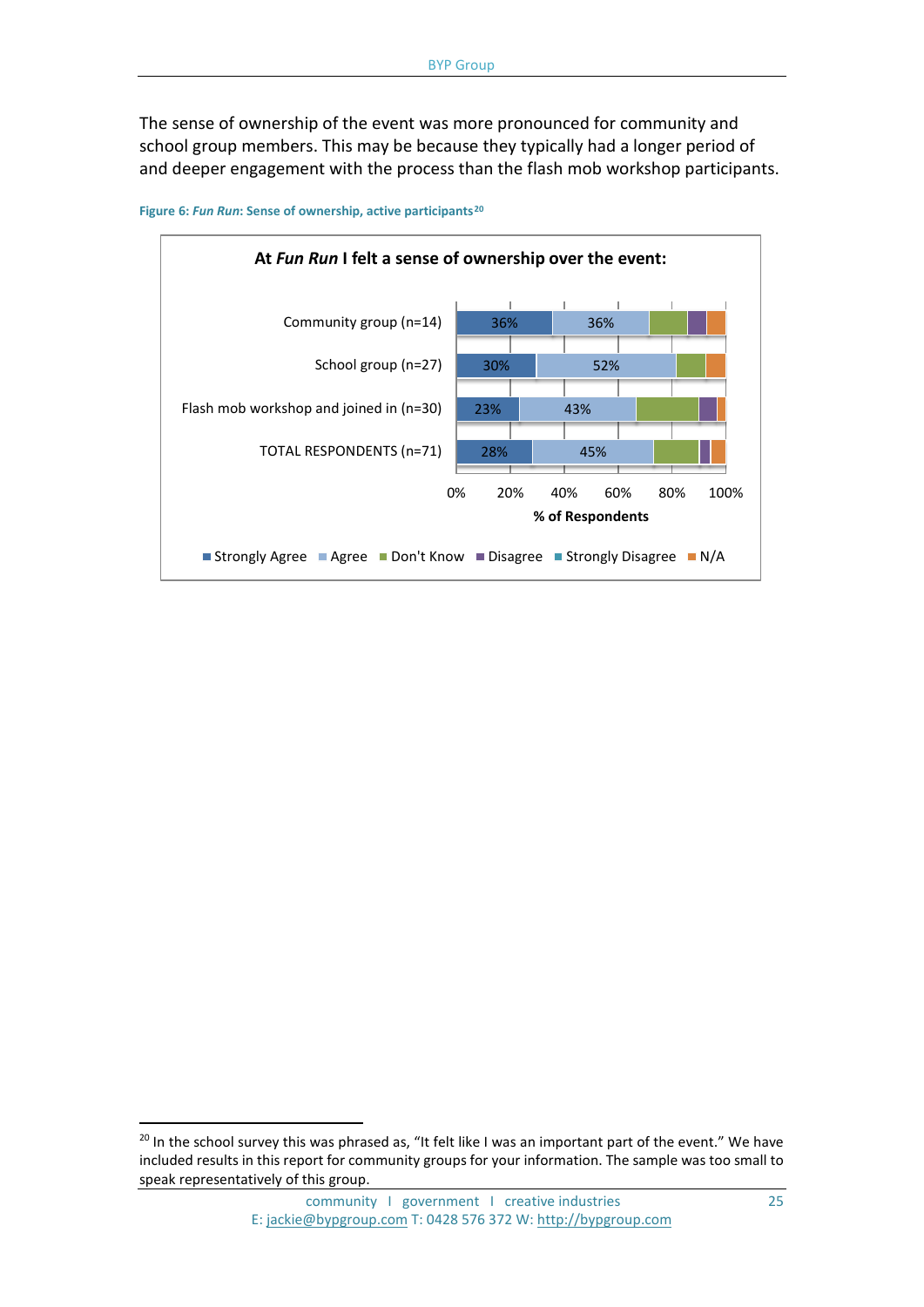The sense of ownership of the event was more pronounced for community and school group members. This may be because they typically had a longer period of and deeper engagement with the process than the flash mob workshop participants.



**Figure 6:** *Fun Run***: Sense of ownership, active participants[20](#page-24-0)**

<span id="page-24-0"></span> $20$  In the school survey this was phrased as, "It felt like I was an important part of the event." We have included results in this report for community groups for your information. The sample was too small to speak representatively of this group.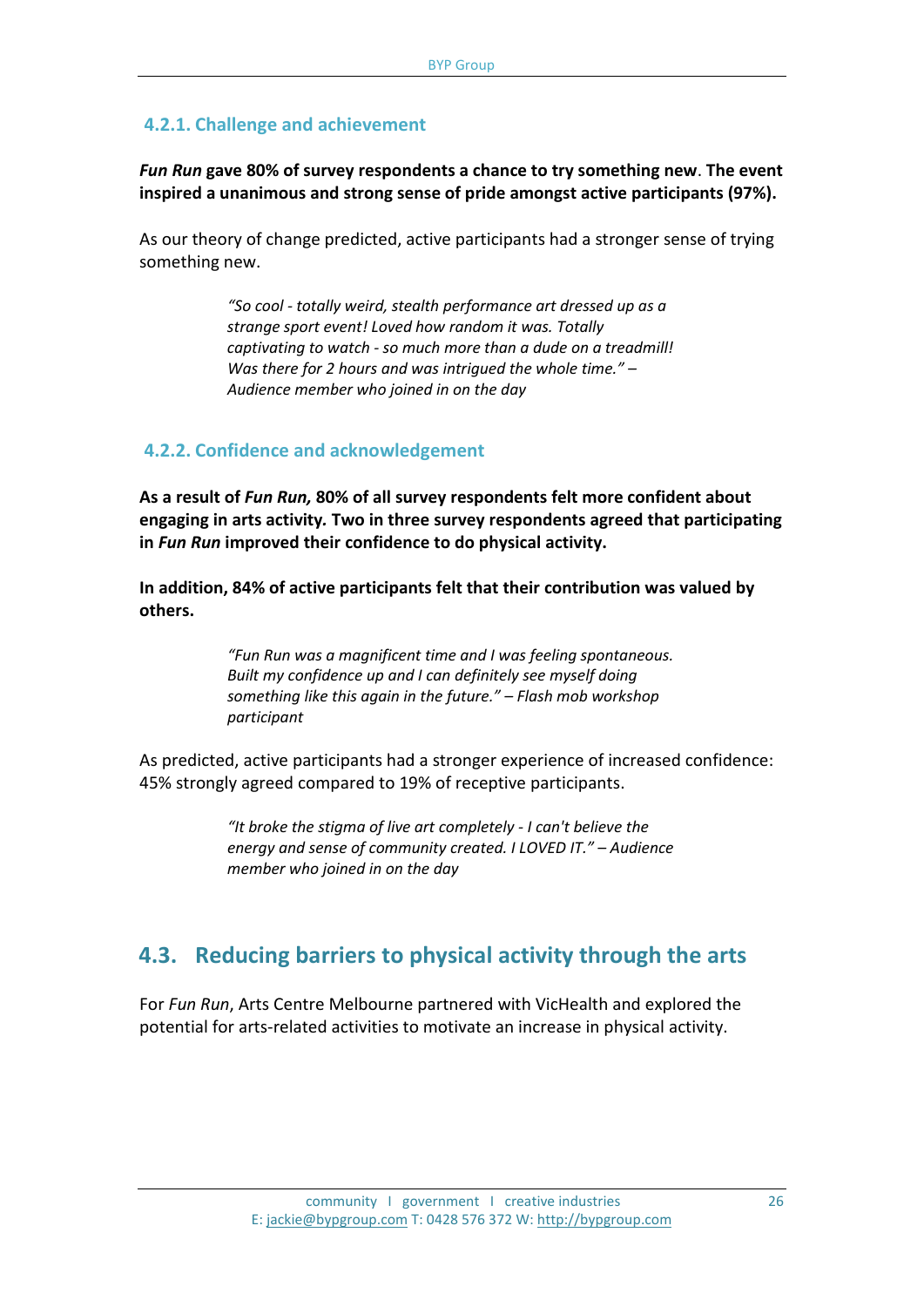#### **4.2.1. Challenge and achievement**

*Fun Run* **gave 80% of survey respondents a chance to try something new**. **The event inspired a unanimous and strong sense of pride amongst active participants (97%).** 

As our theory of change predicted, active participants had a stronger sense of trying something new.

> *"So cool - totally weird, stealth performance art dressed up as a strange sport event! Loved how random it was. Totally captivating to watch - so much more than a dude on a treadmill! Was there for 2 hours and was intrigued the whole time." – Audience member who joined in on the day*

#### **4.2.2. Confidence and acknowledgement**

**As a result of** *Fun Run,* **80% of all survey respondents felt more confident about engaging in arts activity***.* **Two in three survey respondents agreed that participating in** *Fun Run* **improved their confidence to do physical activity.**

**In addition, 84% of active participants felt that their contribution was valued by others.**

> *"Fun Run was a magnificent time and I was feeling spontaneous. Built my confidence up and I can definitely see myself doing something like this again in the future." – Flash mob workshop participant*

As predicted, active participants had a stronger experience of increased confidence: 45% strongly agreed compared to 19% of receptive participants.

> *"It broke the stigma of live art completely - I can't believe the energy and sense of community created. I LOVED IT." – Audience member who joined in on the day*

### **4.3. Reducing barriers to physical activity through the arts**

For *Fun Run*, Arts Centre Melbourne partnered with VicHealth and explored the potential for arts-related activities to motivate an increase in physical activity.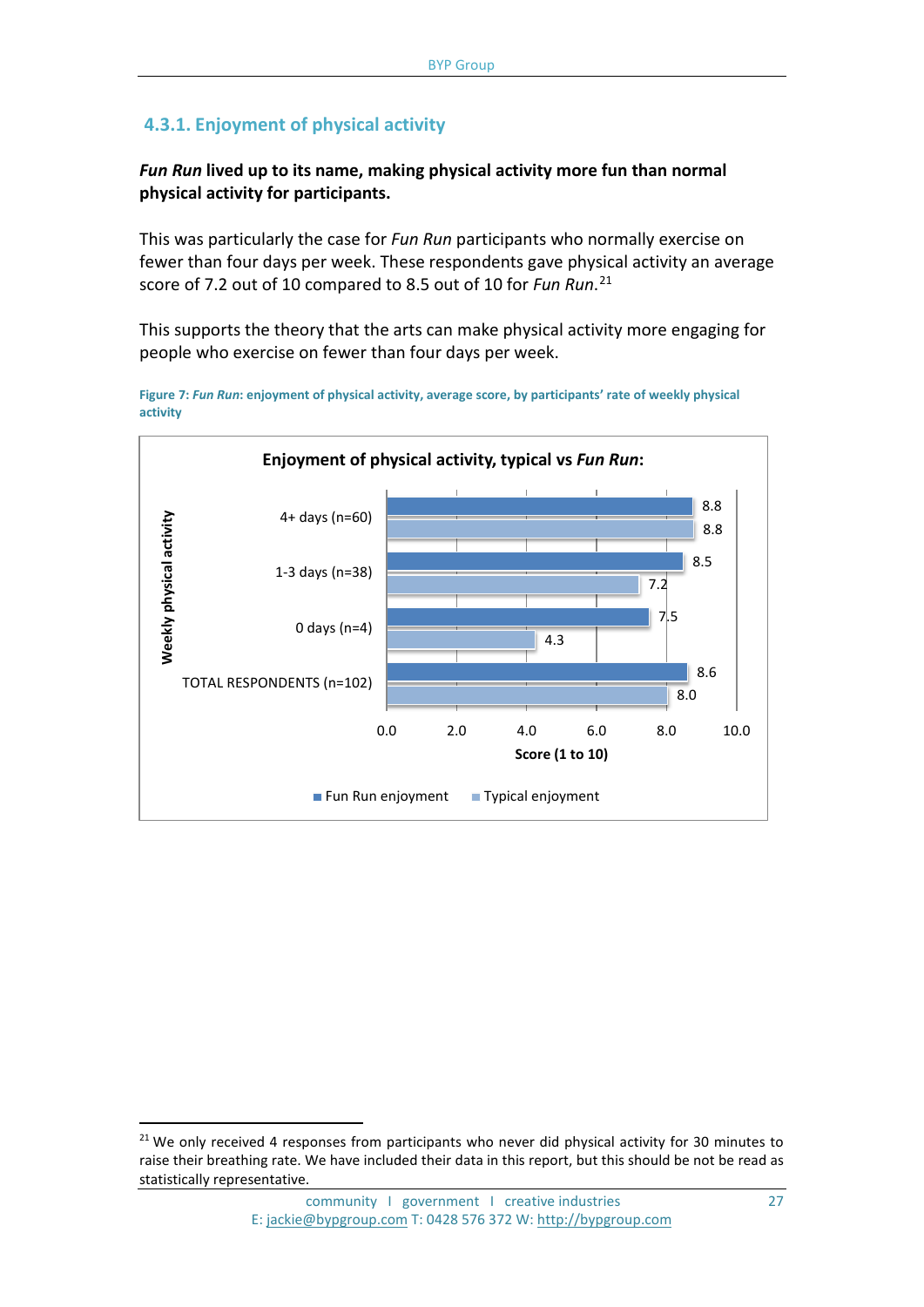### **4.3.1. Enjoyment of physical activity**

*Fun Run* **lived up to its name, making physical activity more fun than normal physical activity for participants.** 

This was particularly the case for *Fun Run* participants who normally exercise on fewer than four days per week. These respondents gave physical activity an average score of 7.2 out of 10 compared to 8.5 out of 10 for *Fun Run*. [21](#page-26-0)

This supports the theory that the arts can make physical activity more engaging for people who exercise on fewer than four days per week.



**Figure 7:** *Fun Run***: enjoyment of physical activity, average score, by participants' rate of weekly physical activity**

<span id="page-26-0"></span> $21$  We only received 4 responses from participants who never did physical activity for 30 minutes to raise their breathing rate. We have included their data in this report, but this should be not be read as statistically representative.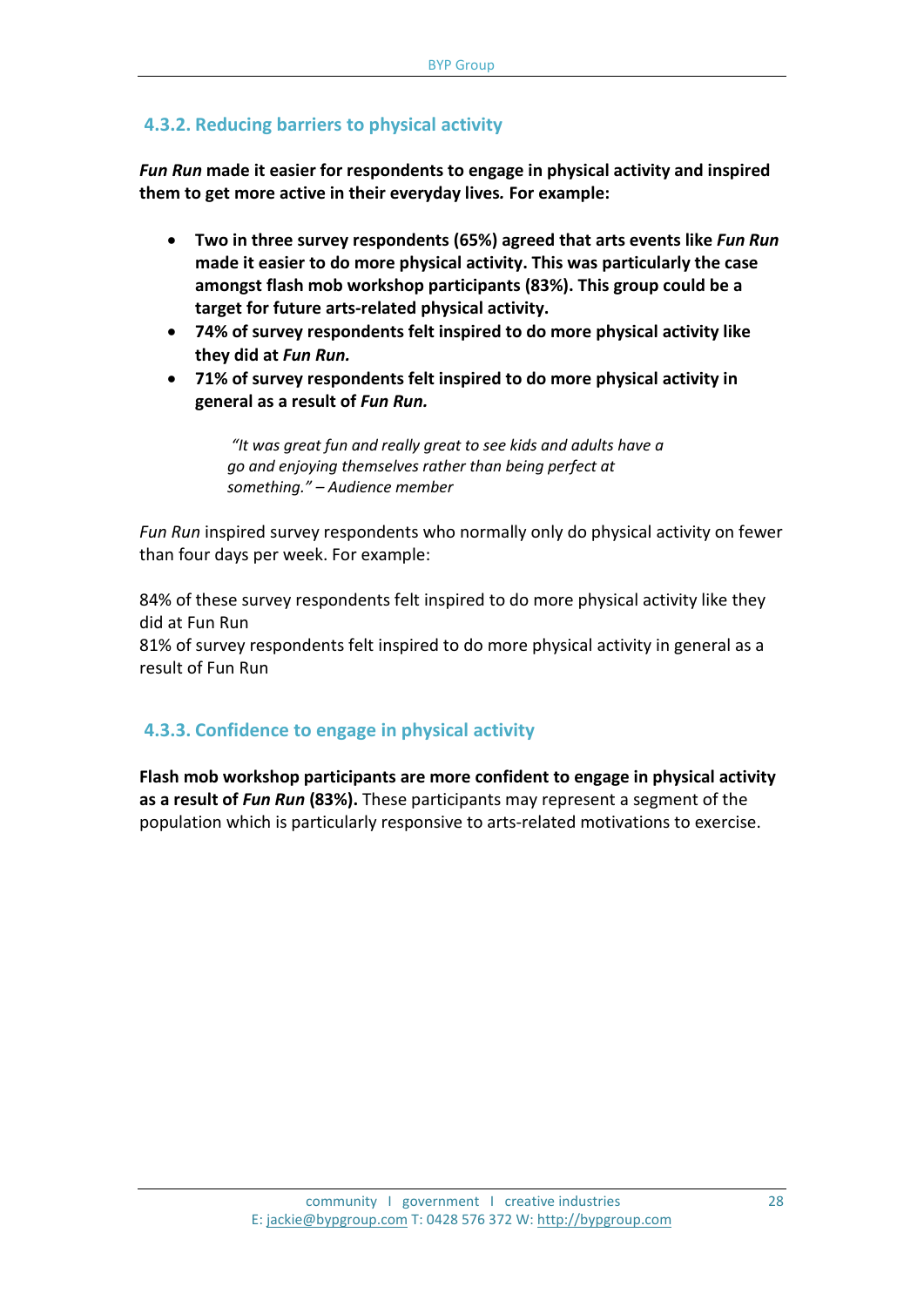### **4.3.2. Reducing barriers to physical activity**

*Fun Run* **made it easier for respondents to engage in physical activity and inspired them to get more active in their everyday lives***.* **For example:**

- **Two in three survey respondents (65%) agreed that arts events like** *Fun Run* **made it easier to do more physical activity. This was particularly the case amongst flash mob workshop participants (83%). This group could be a target for future arts-related physical activity.**
- **74% of survey respondents felt inspired to do more physical activity like they did at** *Fun Run.*
- **71% of survey respondents felt inspired to do more physical activity in general as a result of** *Fun Run.*

*"It was great fun and really great to see kids and adults have a go and enjoying themselves rather than being perfect at something." – Audience member*

*Fun Run* inspired survey respondents who normally only do physical activity on fewer than four days per week. For example:

84% of these survey respondents felt inspired to do more physical activity like they did at Fun Run

81% of survey respondents felt inspired to do more physical activity in general as a result of Fun Run

### **4.3.3. Confidence to engage in physical activity**

**Flash mob workshop participants are more confident to engage in physical activity as a result of** *Fun Run* **(83%).** These participants may represent a segment of the population which is particularly responsive to arts-related motivations to exercise.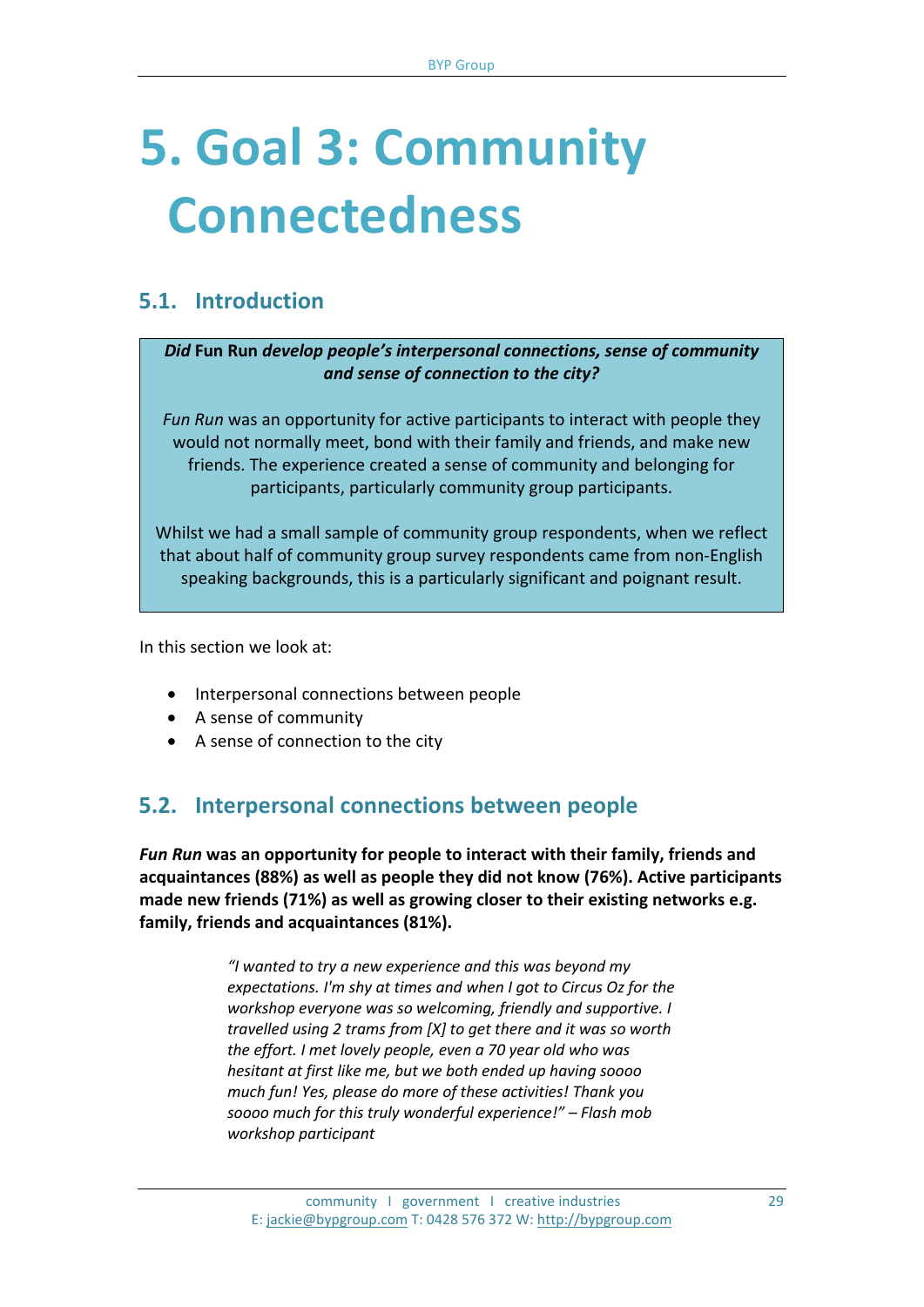## **5. Goal 3: Community Connectedness**

## **5.1. Introduction**

*Did* **Fun Run** *develop people's interpersonal connections, sense of community and sense of connection to the city?*

*Fun Run* was an opportunity for active participants to interact with people they would not normally meet, bond with their family and friends, and make new friends. The experience created a sense of community and belonging for participants, particularly community group participants.

Whilst we had a small sample of community group respondents, when we reflect that about half of community group survey respondents came from non-English speaking backgrounds, this is a particularly significant and poignant result.

In this section we look at:

- Interpersonal connections between people
- A sense of community
- A sense of connection to the city

## **5.2. Interpersonal connections between people**

*Fun Run* **was an opportunity for people to interact with their family, friends and acquaintances (88%) as well as people they did not know (76%). Active participants made new friends (71%) as well as growing closer to their existing networks e.g. family, friends and acquaintances (81%).**

> *"I wanted to try a new experience and this was beyond my expectations. I'm shy at times and when I got to Circus Oz for the workshop everyone was so welcoming, friendly and supportive. I travelled using 2 trams from [X] to get there and it was so worth the effort. I met lovely people, even a 70 year old who was hesitant at first like me, but we both ended up having soooo much fun! Yes, please do more of these activities! Thank you soooo much for this truly wonderful experience!" – Flash mob workshop participant*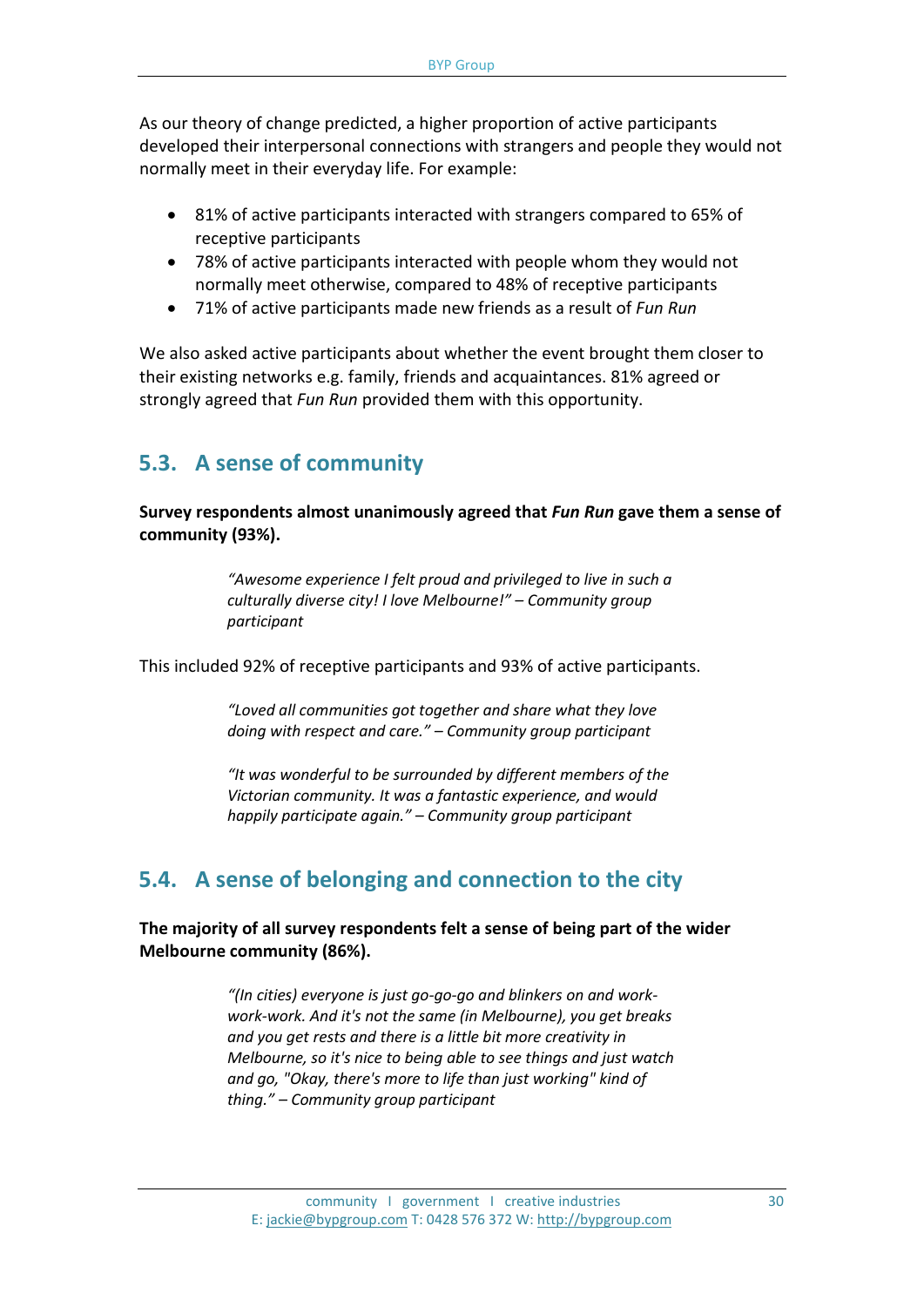As our theory of change predicted, a higher proportion of active participants developed their interpersonal connections with strangers and people they would not normally meet in their everyday life. For example:

- 81% of active participants interacted with strangers compared to 65% of receptive participants
- 78% of active participants interacted with people whom they would not normally meet otherwise, compared to 48% of receptive participants
- 71% of active participants made new friends as a result of *Fun Run*

We also asked active participants about whether the event brought them closer to their existing networks e.g. family, friends and acquaintances. 81% agreed or strongly agreed that *Fun Run* provided them with this opportunity.

## **5.3. A sense of community**

**Survey respondents almost unanimously agreed that** *Fun Run* **gave them a sense of community (93%).**

> *"Awesome experience I felt proud and privileged to live in such a culturally diverse city! I love Melbourne!" – Community group participant*

This included 92% of receptive participants and 93% of active participants.

*"Loved all communities got together and share what they love doing with respect and care." – Community group participant*

*"It was wonderful to be surrounded by different members of the Victorian community. It was a fantastic experience, and would happily participate again." – Community group participant*

## **5.4. A sense of belonging and connection to the city**

**The majority of all survey respondents felt a sense of being part of the wider Melbourne community (86%).**

> *"(In cities) everyone is just go-go-go and blinkers on and workwork-work. And it's not the same (in Melbourne), you get breaks and you get rests and there is a little bit more creativity in Melbourne, so it's nice to being able to see things and just watch and go, "Okay, there's more to life than just working" kind of thing." – Community group participant*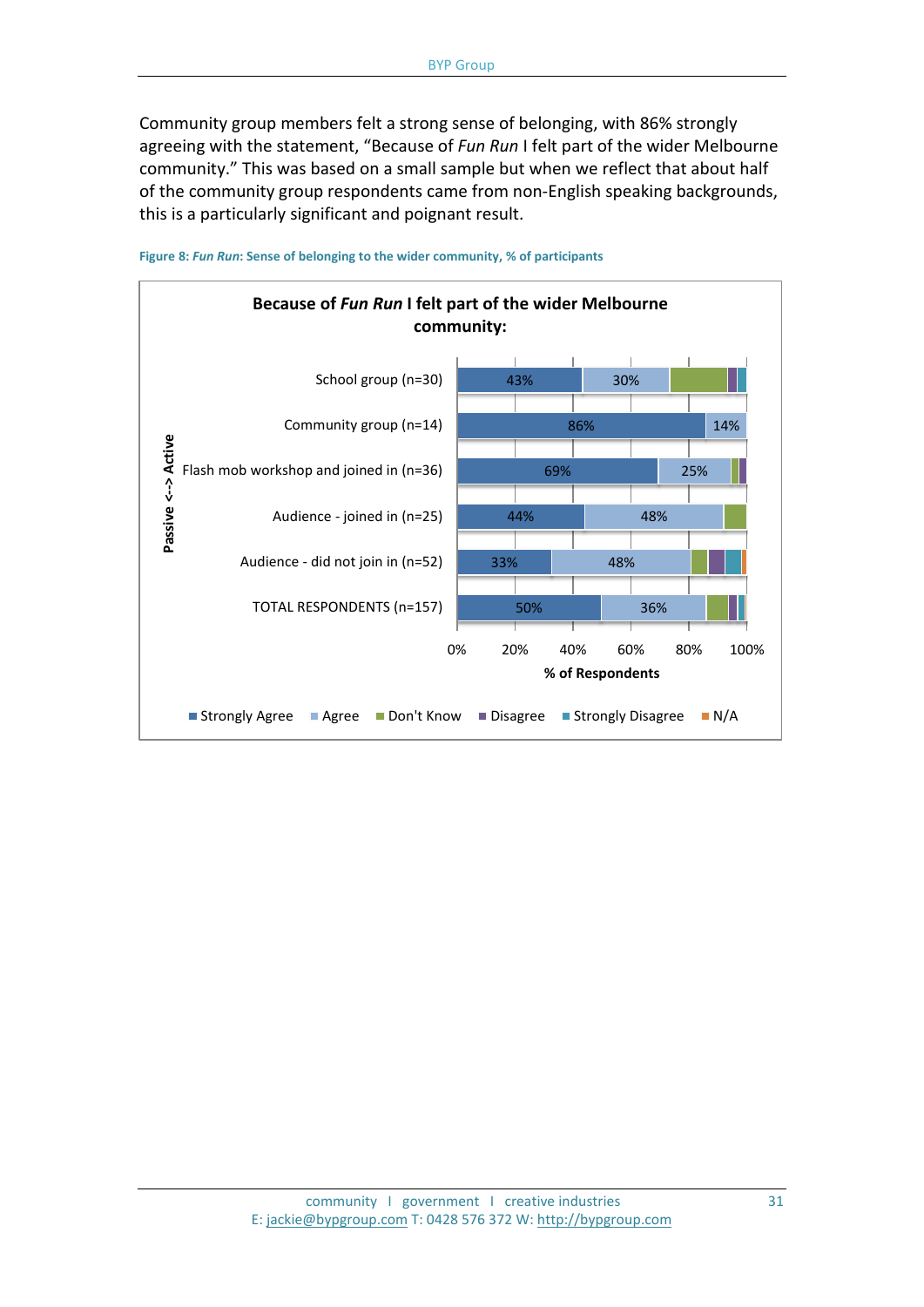Community group members felt a strong sense of belonging, with 86% strongly agreeing with the statement, "Because of *Fun Run* I felt part of the wider Melbourne community." This was based on a small sample but when we reflect that about half of the community group respondents came from non-English speaking backgrounds, this is a particularly significant and poignant result.



**Figure 8:** *Fun Run***: Sense of belonging to the wider community, % of participants**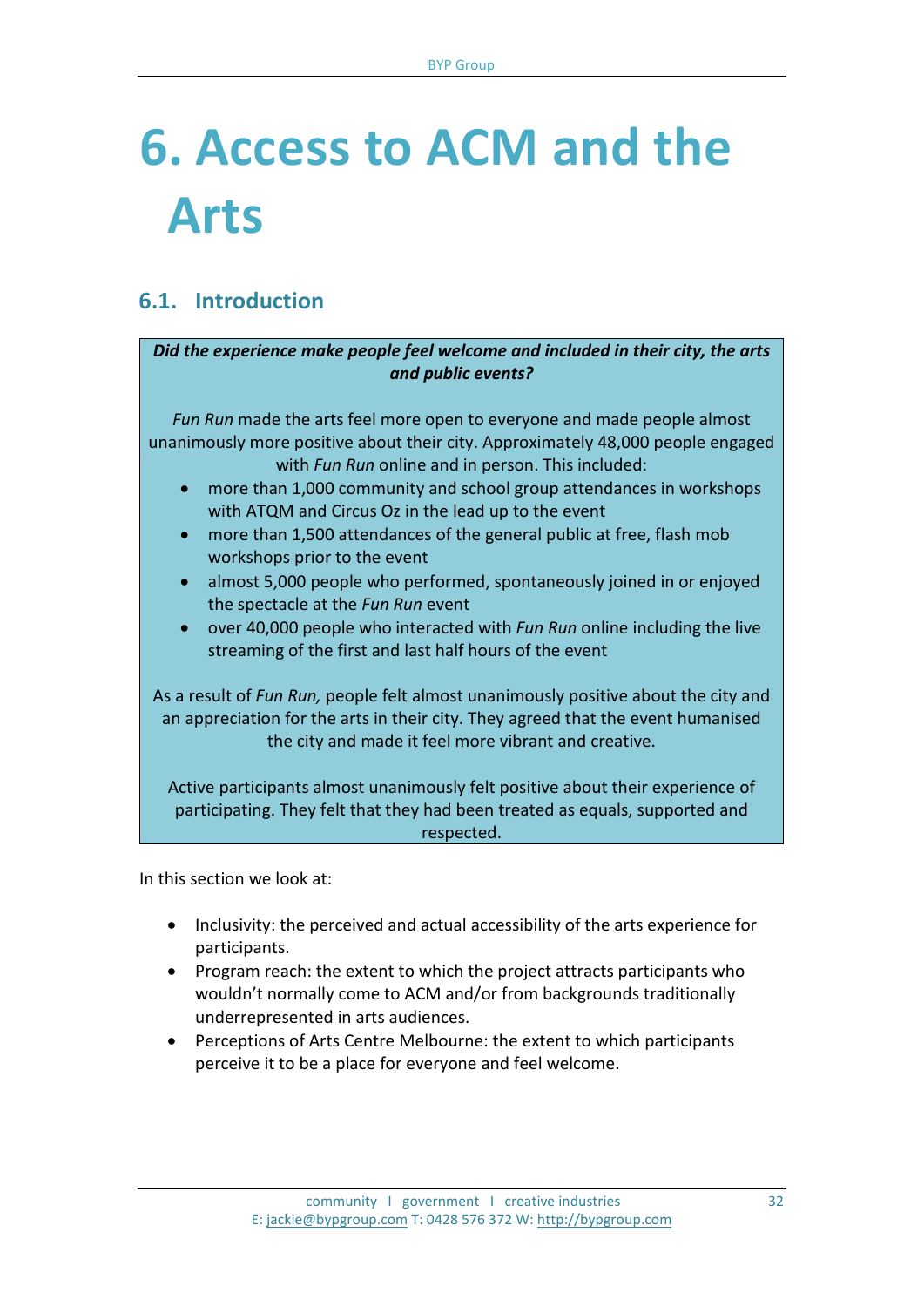## **6. Access to ACM and the Arts**

## **6.1. Introduction**

#### *Did the experience make people feel welcome and included in their city, the arts and public events?*

*Fun Run* made the arts feel more open to everyone and made people almost unanimously more positive about their city. Approximately 48,000 people engaged with *Fun Run* online and in person. This included:

- more than 1,000 community and school group attendances in workshops with ATQM and Circus Oz in the lead up to the event
- more than 1,500 attendances of the general public at free, flash mob workshops prior to the event
- almost 5,000 people who performed, spontaneously joined in or enjoyed the spectacle at the *Fun Run* event
- over 40,000 people who interacted with *Fun Run* online including the live streaming of the first and last half hours of the event

As a result of *Fun Run,* people felt almost unanimously positive about the city and an appreciation for the arts in their city. They agreed that the event humanised the city and made it feel more vibrant and creative.

Active participants almost unanimously felt positive about their experience of participating. They felt that they had been treated as equals, supported and respected.

In this section we look at:

- Inclusivity: the perceived and actual accessibility of the arts experience for participants.
- Program reach: the extent to which the project attracts participants who wouldn't normally come to ACM and/or from backgrounds traditionally underrepresented in arts audiences.
- Perceptions of Arts Centre Melbourne: the extent to which participants perceive it to be a place for everyone and feel welcome.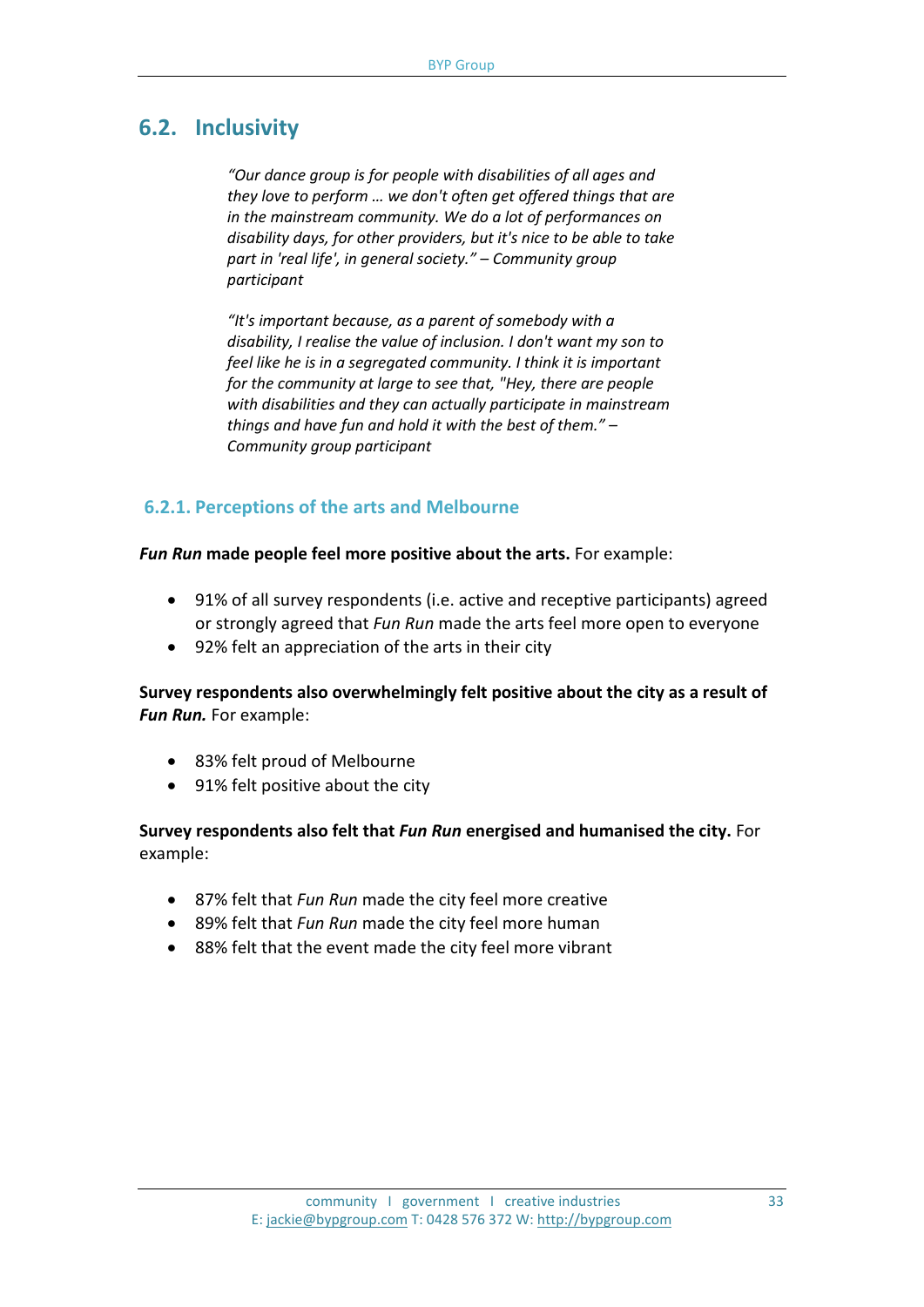## **6.2. Inclusivity**

*"Our dance group is for people with disabilities of all ages and they love to perform … we don't often get offered things that are in the mainstream community. We do a lot of performances on disability days, for other providers, but it's nice to be able to take part in 'real life', in general society." – Community group participant*

*"It's important because, as a parent of somebody with a disability, I realise the value of inclusion. I don't want my son to feel like he is in a segregated community. I think it is important for the community at large to see that, "Hey, there are people with disabilities and they can actually participate in mainstream things and have fun and hold it with the best of them." – Community group participant*

### **6.2.1. Perceptions of the arts and Melbourne**

*Fun Run* **made people feel more positive about the arts.** For example:

- 91% of all survey respondents (i.e. active and receptive participants) agreed or strongly agreed that *Fun Run* made the arts feel more open to everyone
- 92% felt an appreciation of the arts in their city

**Survey respondents also overwhelmingly felt positive about the city as a result of**  *Fun Run.* For example:

- 83% felt proud of Melbourne
- 91% felt positive about the city

#### **Survey respondents also felt that** *Fun Run* **energised and humanised the city.** For example:

- 87% felt that *Fun Run* made the city feel more creative
- 89% felt that *Fun Run* made the city feel more human
- 88% felt that the event made the city feel more vibrant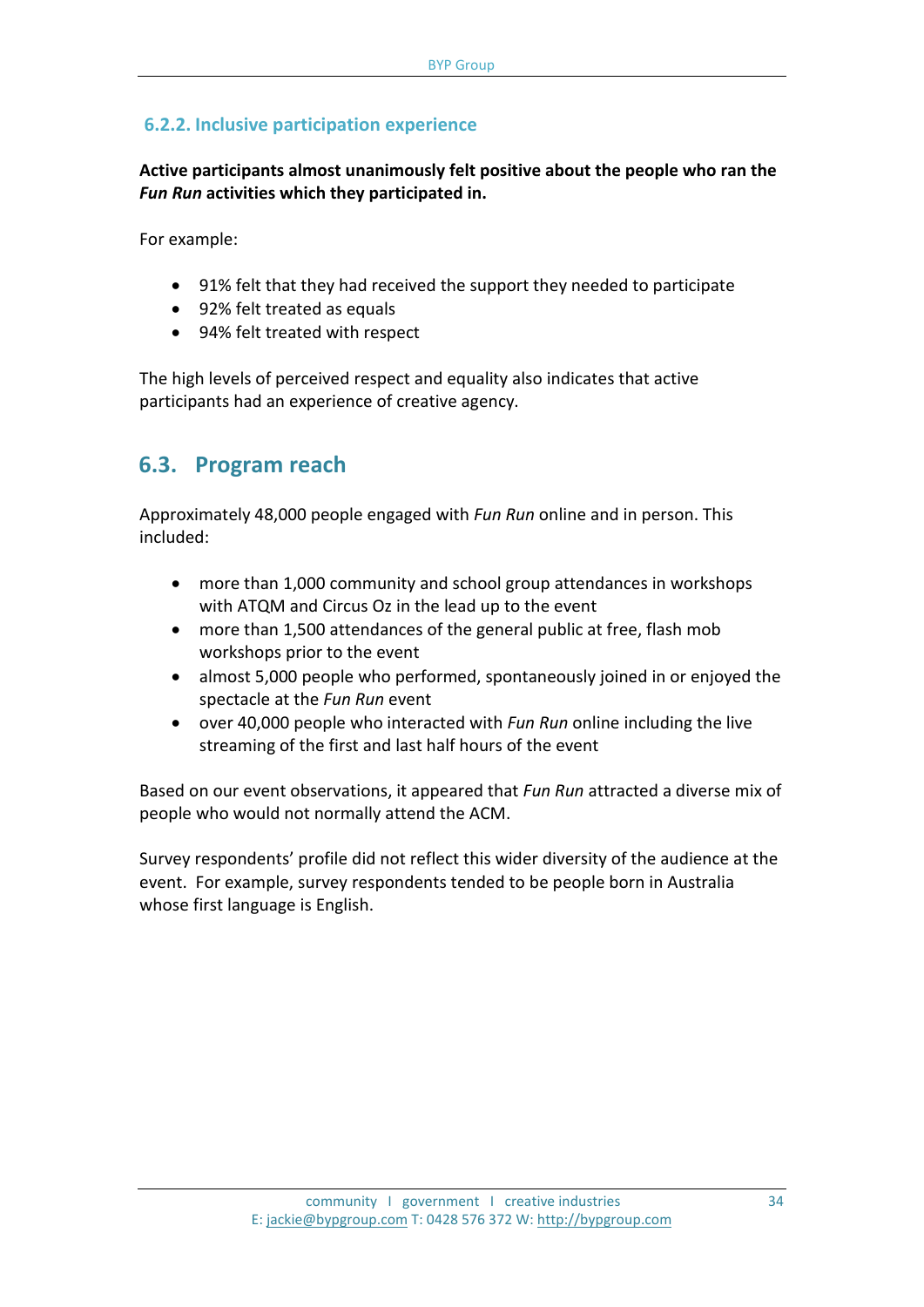### **6.2.2. Inclusive participation experience**

**Active participants almost unanimously felt positive about the people who ran the**  *Fun Run* **activities which they participated in.**

For example:

- 91% felt that they had received the support they needed to participate
- 92% felt treated as equals
- 94% felt treated with respect

The high levels of perceived respect and equality also indicates that active participants had an experience of creative agency.

## **6.3. Program reach**

Approximately 48,000 people engaged with *Fun Run* online and in person. This included:

- more than 1,000 community and school group attendances in workshops with ATQM and Circus Oz in the lead up to the event
- more than 1,500 attendances of the general public at free, flash mob workshops prior to the event
- almost 5,000 people who performed, spontaneously joined in or enjoyed the spectacle at the *Fun Run* event
- over 40,000 people who interacted with *Fun Run* online including the live streaming of the first and last half hours of the event

Based on our event observations, it appeared that *Fun Run* attracted a diverse mix of people who would not normally attend the ACM.

Survey respondents' profile did not reflect this wider diversity of the audience at the event. For example, survey respondents tended to be people born in Australia whose first language is English.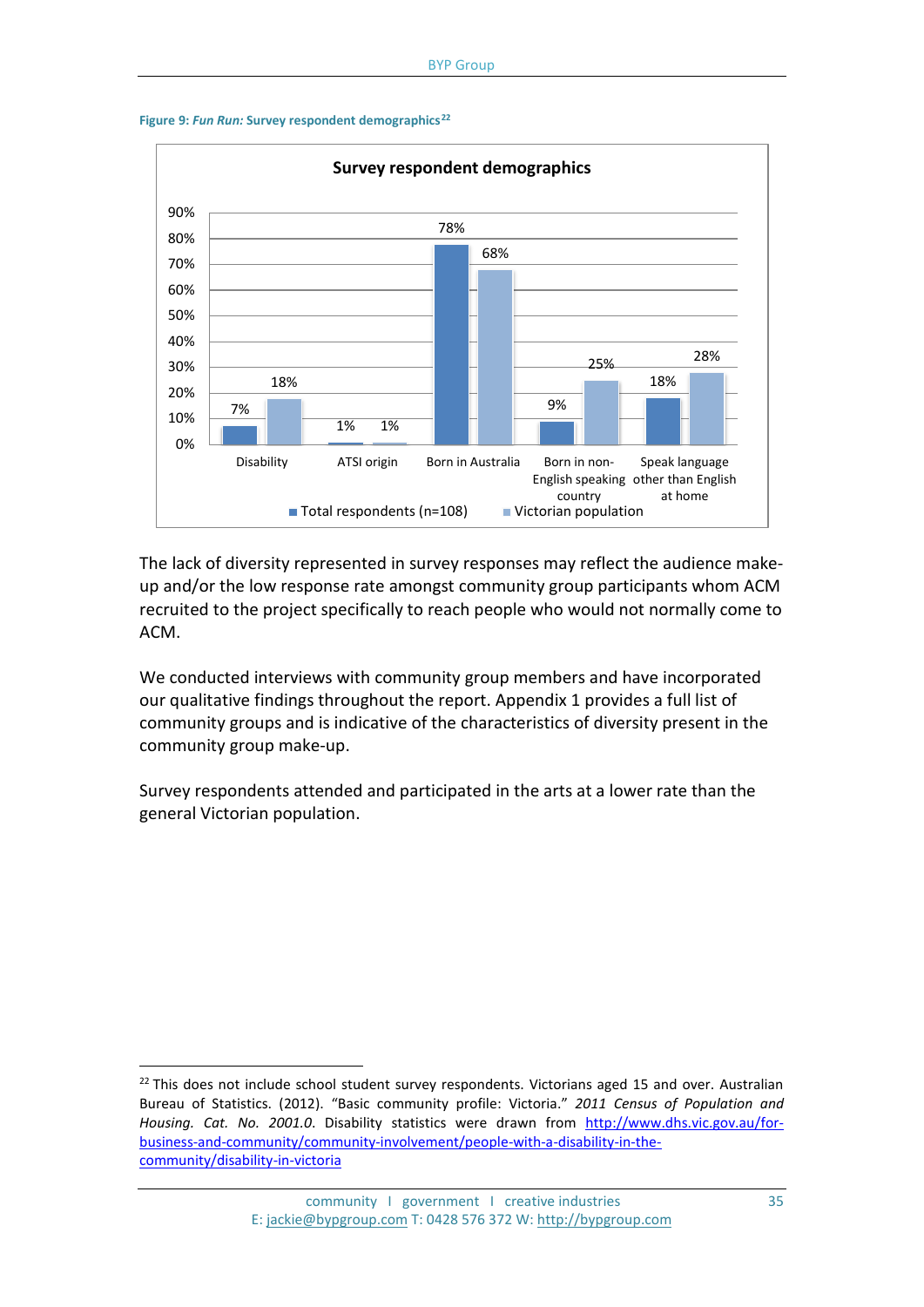



The lack of diversity represented in survey responses may reflect the audience makeup and/or the low response rate amongst community group participants whom ACM recruited to the project specifically to reach people who would not normally come to ACM.

We conducted interviews with community group members and have incorporated our qualitative findings throughout the report. Appendix 1 provides a full list of community groups and is indicative of the characteristics of diversity present in the community group make-up.

Survey respondents attended and participated in the arts at a lower rate than the general Victorian population.

<span id="page-34-0"></span> $22$  This does not include school student survey respondents. Victorians aged 15 and over. Australian Bureau of Statistics. (2012). "Basic community profile: Victoria." *2011 Census of Population and Housing. Cat. No. 2001.0*. Disability statistics were drawn from [http://www.dhs.vic.gov.au/for](http://www.dhs.vic.gov.au/for-business-and-community/community-involvement/people-with-a-disability-in-the-community/disability-in-victoria)[business-and-community/community-involvement/people-with-a-disability-in-the](http://www.dhs.vic.gov.au/for-business-and-community/community-involvement/people-with-a-disability-in-the-community/disability-in-victoria)[community/disability-in-victoria](http://www.dhs.vic.gov.au/for-business-and-community/community-involvement/people-with-a-disability-in-the-community/disability-in-victoria)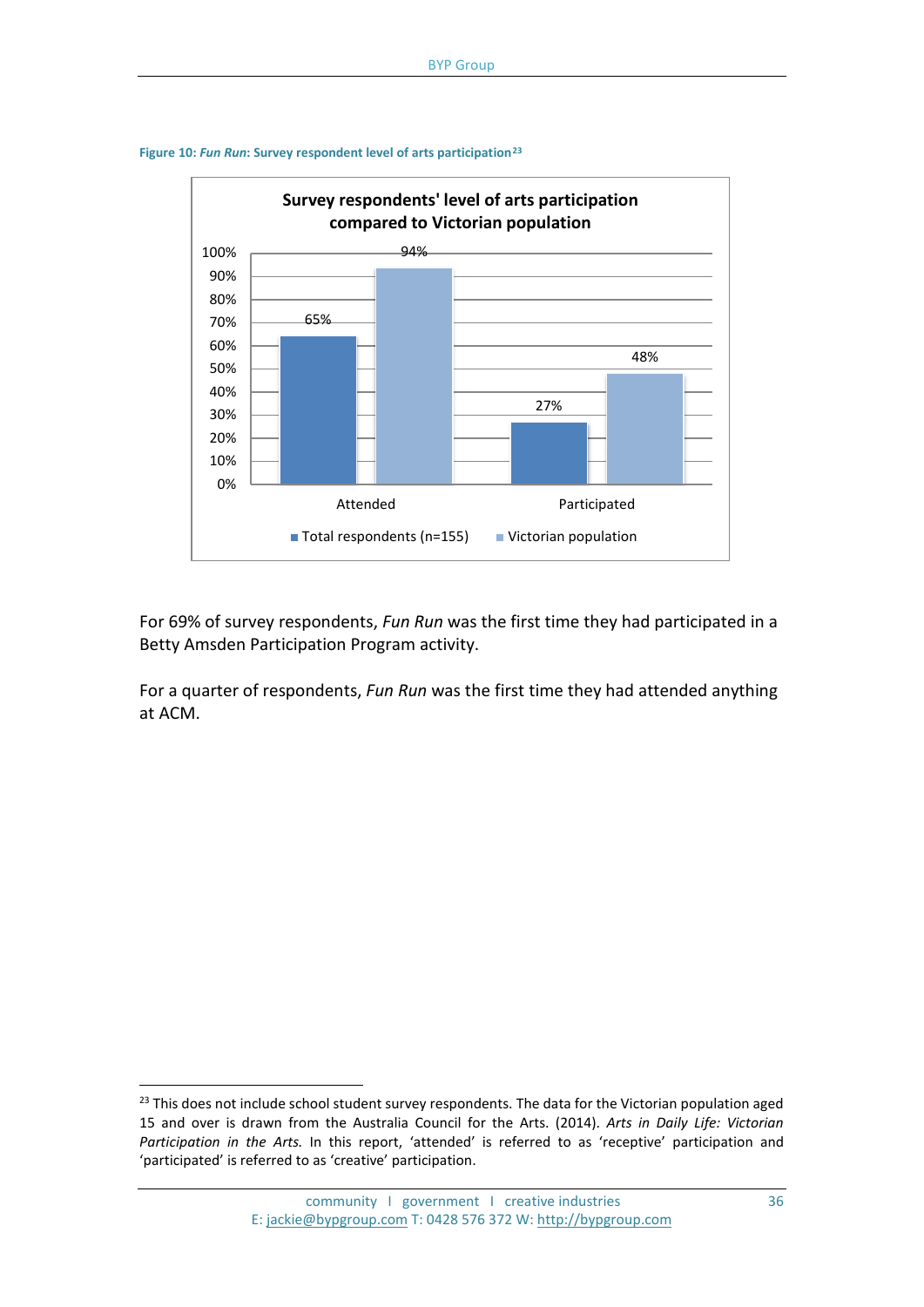

**Figure 10:** *Fun Run***: Survey respondent level of arts participation[23](#page-35-0)**

For 69% of survey respondents, *Fun Run* was the first time they had participated in a Betty Amsden Participation Program activity.

For a quarter of respondents, *Fun Run* was the first time they had attended anything at ACM.

<span id="page-35-0"></span><sup>&</sup>lt;sup>23</sup> This does not include school student survey respondents. The data for the Victorian population aged 15 and over is drawn from the Australia Council for the Arts. (2014). *Arts in Daily Life: Victorian Participation in the Arts.* In this report, 'attended' is referred to as 'receptive' participation and 'participated' is referred to as 'creative' participation.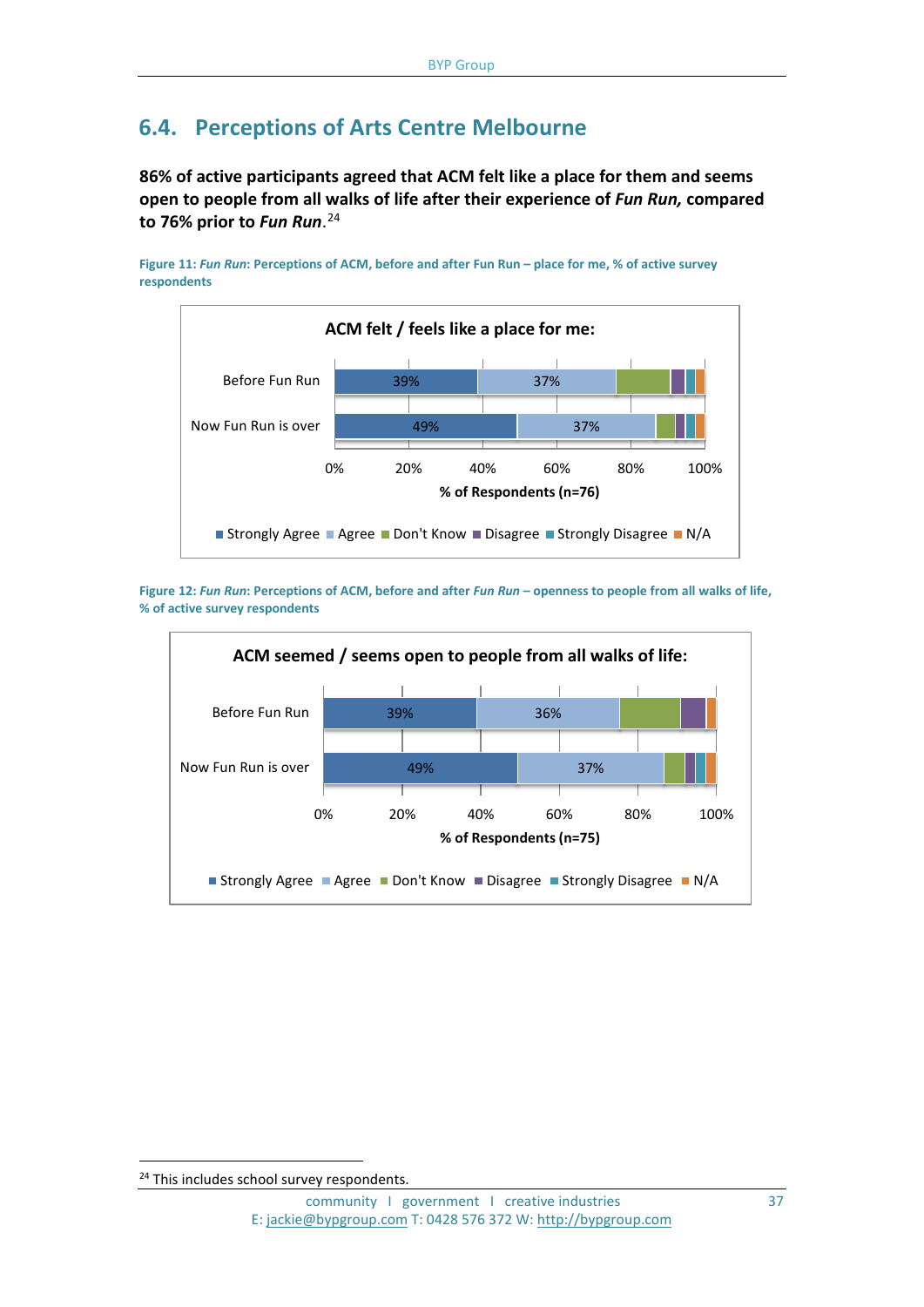## **6.4. Perceptions of Arts Centre Melbourne**

**86% of active participants agreed that ACM felt like a place for them and seems open to people from all walks of life after their experience of** *Fun Run,* **compared to 76% prior to** *Fun Run*. [24](#page-36-0)

**Figure 11:** *Fun Run***: Perceptions of ACM, before and after Fun Run – place for me, % of active survey respondents**



**Figure 12:** *Fun Run***: Perceptions of ACM, before and after** *Fun Run* **– openness to people from all walks of life, % of active survey respondents**



<span id="page-36-0"></span><sup>&</sup>lt;sup>24</sup> This includes school survey respondents.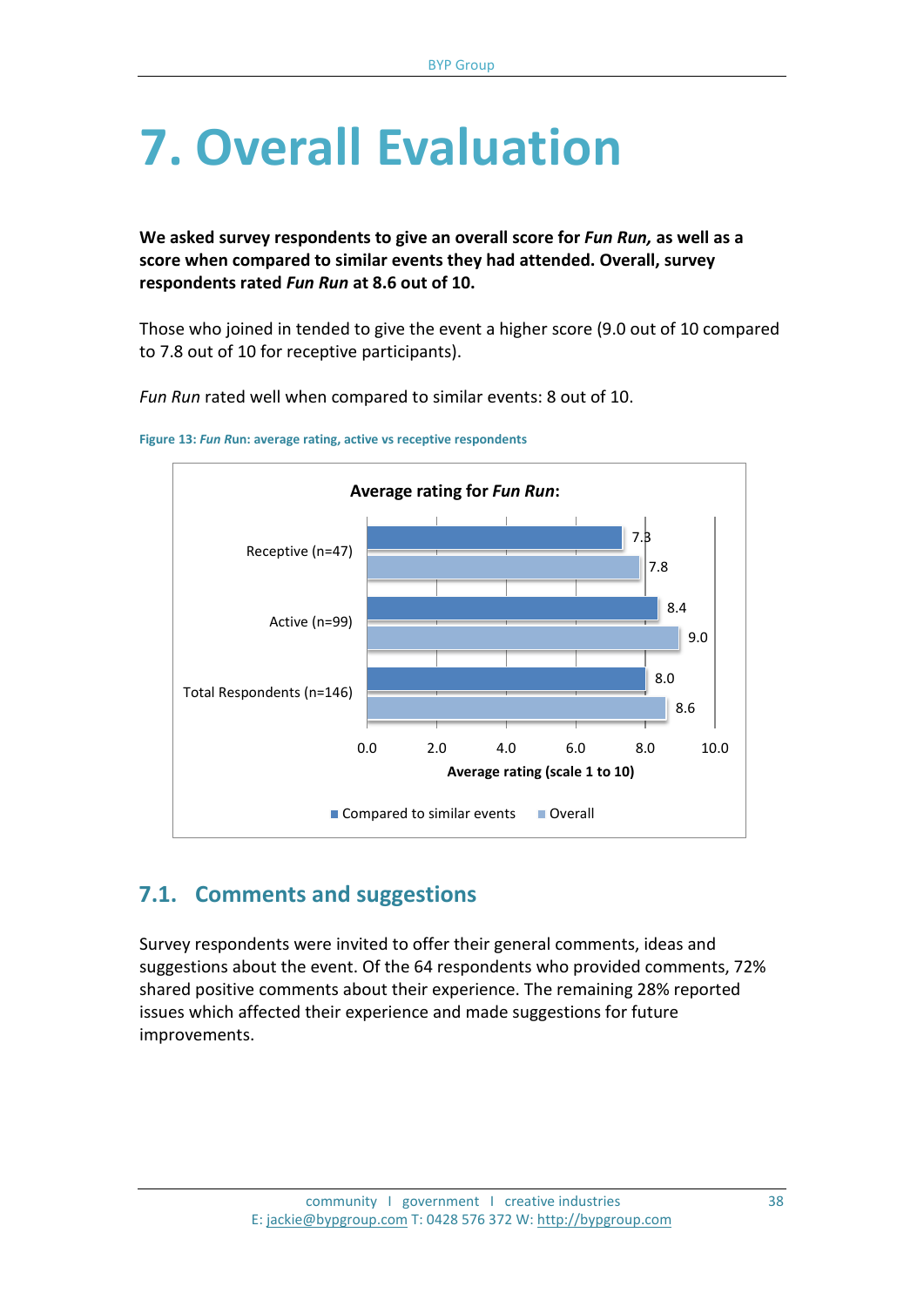## **7. Overall Evaluation**

**We asked survey respondents to give an overall score for** *Fun Run,* **as well as a score when compared to similar events they had attended. Overall, survey respondents rated** *Fun Run* **at 8.6 out of 10.**

Those who joined in tended to give the event a higher score (9.0 out of 10 compared to 7.8 out of 10 for receptive participants).

*Fun Run* rated well when compared to similar events: 8 out of 10.





## **7.1. Comments and suggestions**

Survey respondents were invited to offer their general comments, ideas and suggestions about the event. Of the 64 respondents who provided comments, 72% shared positive comments about their experience. The remaining 28% reported issues which affected their experience and made suggestions for future improvements.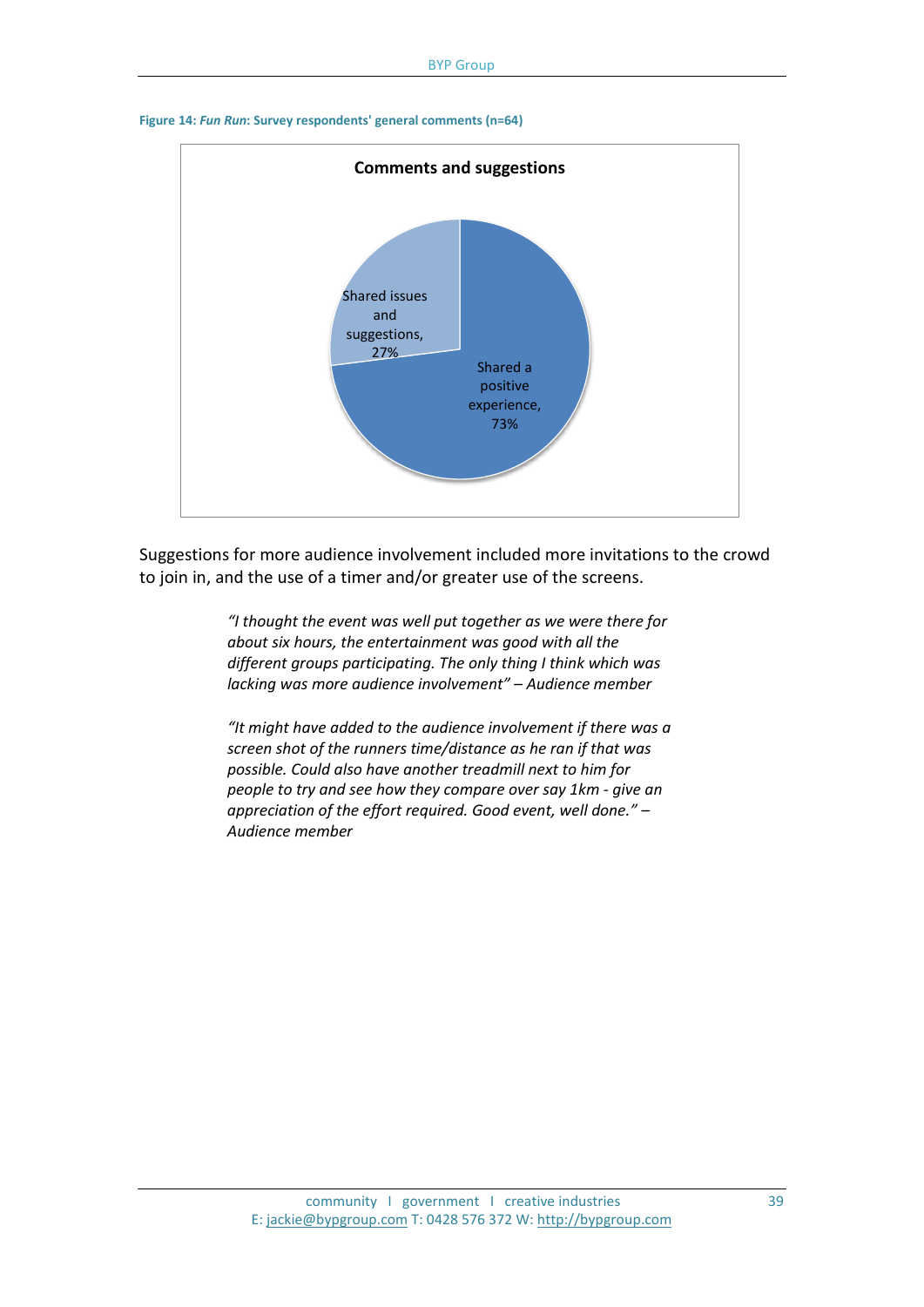

#### **Figure 14:** *Fun Run***: Survey respondents' general comments (n=64)**

Suggestions for more audience involvement included more invitations to the crowd to join in, and the use of a timer and/or greater use of the screens.

> *"I thought the event was well put together as we were there for about six hours, the entertainment was good with all the different groups participating. The only thing I think which was lacking was more audience involvement" – Audience member*

> *"It might have added to the audience involvement if there was a screen shot of the runners time/distance as he ran if that was possible. Could also have another treadmill next to him for people to try and see how they compare over say 1km - give an appreciation of the effort required. Good event, well done." – Audience member*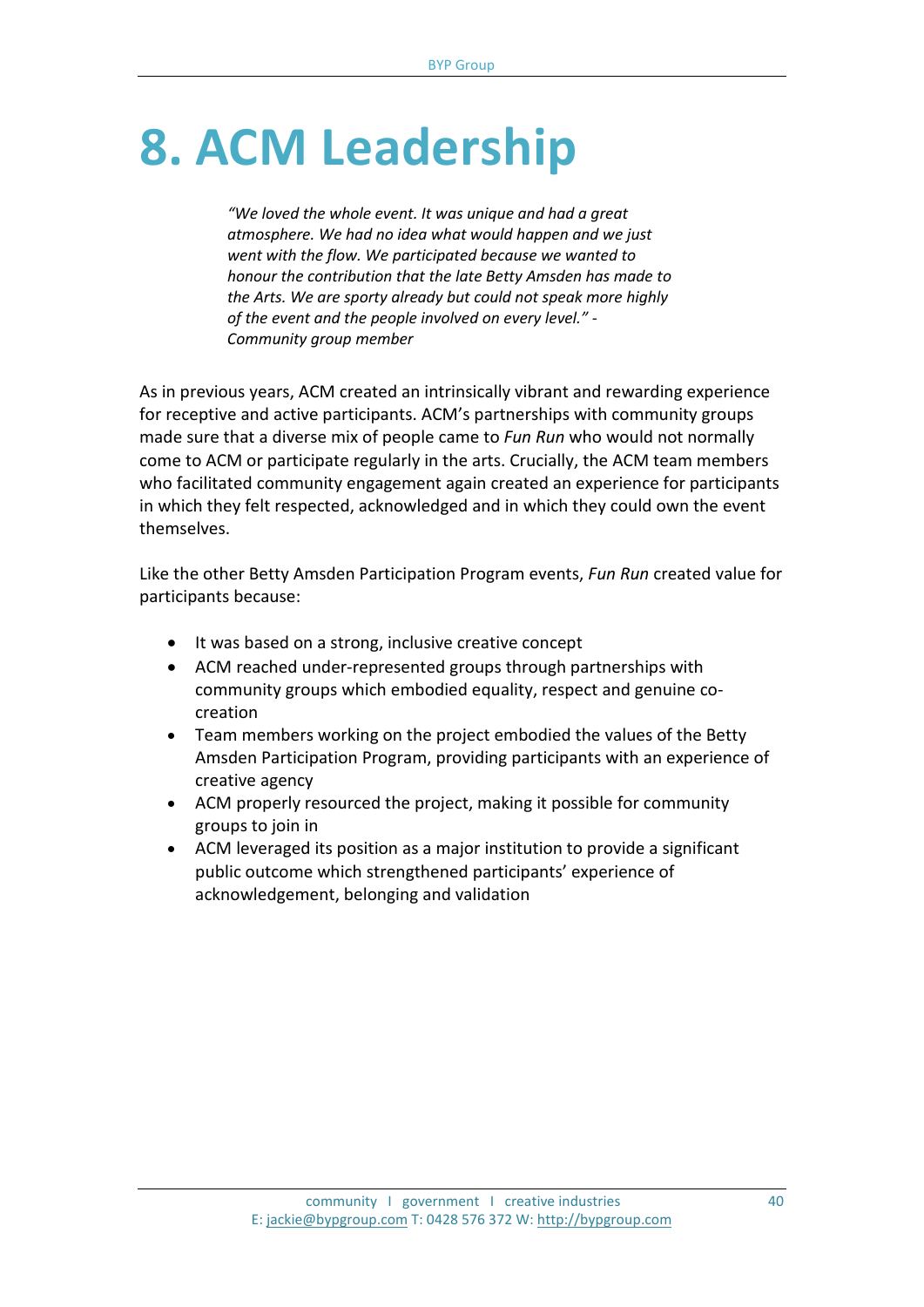## **8. ACM Leadership**

*"We loved the whole event. It was unique and had a great atmosphere. We had no idea what would happen and we just went with the flow. We participated because we wanted to honour the contribution that the late Betty Amsden has made to the Arts. We are sporty already but could not speak more highly of the event and the people involved on every level." - Community group member*

As in previous years, ACM created an intrinsically vibrant and rewarding experience for receptive and active participants. ACM's partnerships with community groups made sure that a diverse mix of people came to *Fun Run* who would not normally come to ACM or participate regularly in the arts. Crucially, the ACM team members who facilitated community engagement again created an experience for participants in which they felt respected, acknowledged and in which they could own the event themselves.

Like the other Betty Amsden Participation Program events, *Fun Run* created value for participants because:

- It was based on a strong, inclusive creative concept
- ACM reached under-represented groups through partnerships with community groups which embodied equality, respect and genuine cocreation
- Team members working on the project embodied the values of the Betty Amsden Participation Program, providing participants with an experience of creative agency
- ACM properly resourced the project, making it possible for community groups to join in
- ACM leveraged its position as a major institution to provide a significant public outcome which strengthened participants' experience of acknowledgement, belonging and validation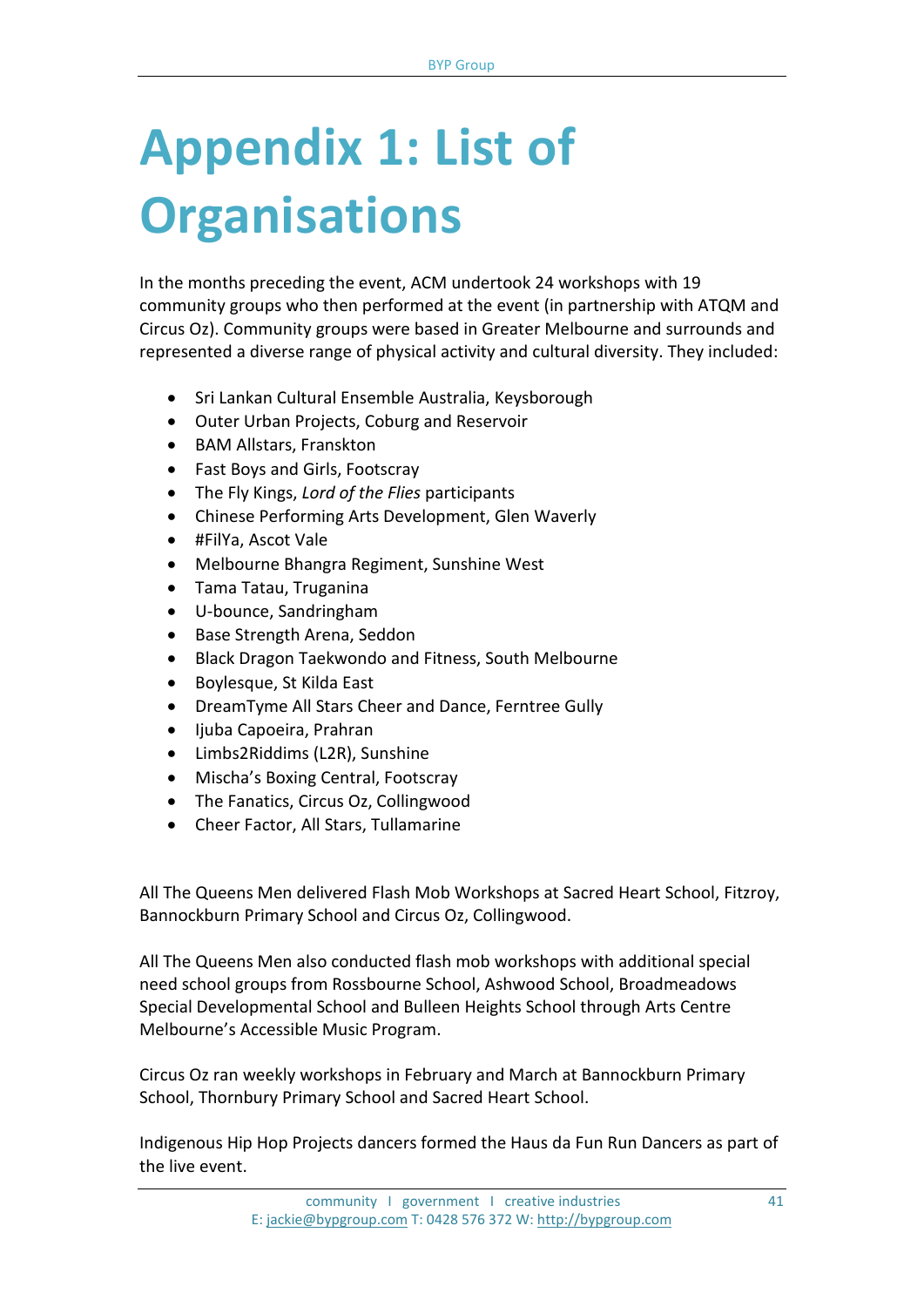## **Appendix 1: List of Organisations**

In the months preceding the event, ACM undertook 24 workshops with 19 community groups who then performed at the event (in partnership with ATQM and Circus Oz). Community groups were based in Greater Melbourne and surrounds and represented a diverse range of physical activity and cultural diversity. They included:

- Sri Lankan Cultural Ensemble Australia, Keysborough
- Outer Urban Projects, Coburg and Reservoir
- BAM Allstars, Franskton
- Fast Boys and Girls, Footscray
- The Fly Kings, *Lord of the Flies* participants
- Chinese Performing Arts Development, Glen Waverly
- #FilYa, Ascot Vale
- Melbourne Bhangra Regiment, Sunshine West
- Tama Tatau, Truganina
- U-bounce, Sandringham
- Base Strength Arena, Seddon
- Black Dragon Taekwondo and Fitness, South Melbourne
- Boylesque, St Kilda East
- DreamTyme All Stars Cheer and Dance, Ferntree Gully
- Ijuba Capoeira, Prahran
- Limbs2Riddims (L2R), Sunshine
- Mischa's Boxing Central, Footscray
- The Fanatics, Circus Oz, Collingwood
- Cheer Factor, All Stars, Tullamarine

All The Queens Men delivered Flash Mob Workshops at Sacred Heart School, Fitzroy, Bannockburn Primary School and Circus Oz, Collingwood.

All The Queens Men also conducted flash mob workshops with additional special need school groups from Rossbourne School, Ashwood School, Broadmeadows Special Developmental School and Bulleen Heights School through Arts Centre Melbourne's Accessible Music Program.

Circus Oz ran weekly workshops in February and March at Bannockburn Primary School, Thornbury Primary School and Sacred Heart School.

Indigenous Hip Hop Projects dancers formed the Haus da Fun Run Dancers as part of the live event.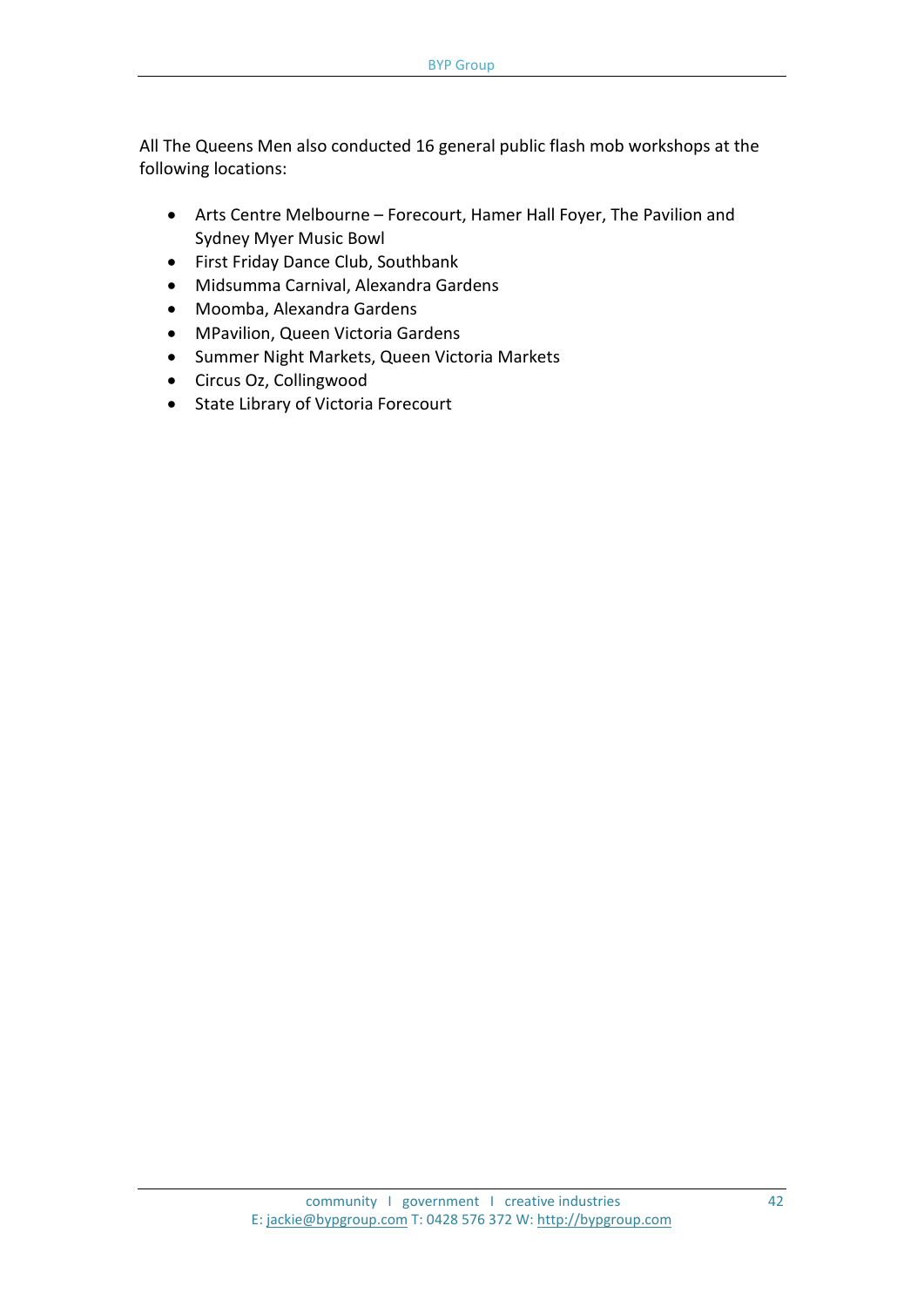All The Queens Men also conducted 16 general public flash mob workshops at the following locations:

- Arts Centre Melbourne Forecourt, Hamer Hall Foyer, The Pavilion and Sydney Myer Music Bowl
- First Friday Dance Club, Southbank
- Midsumma Carnival, Alexandra Gardens
- Moomba, Alexandra Gardens
- MPavilion, Queen Victoria Gardens
- Summer Night Markets, Queen Victoria Markets
- Circus Oz, Collingwood
- State Library of Victoria Forecourt